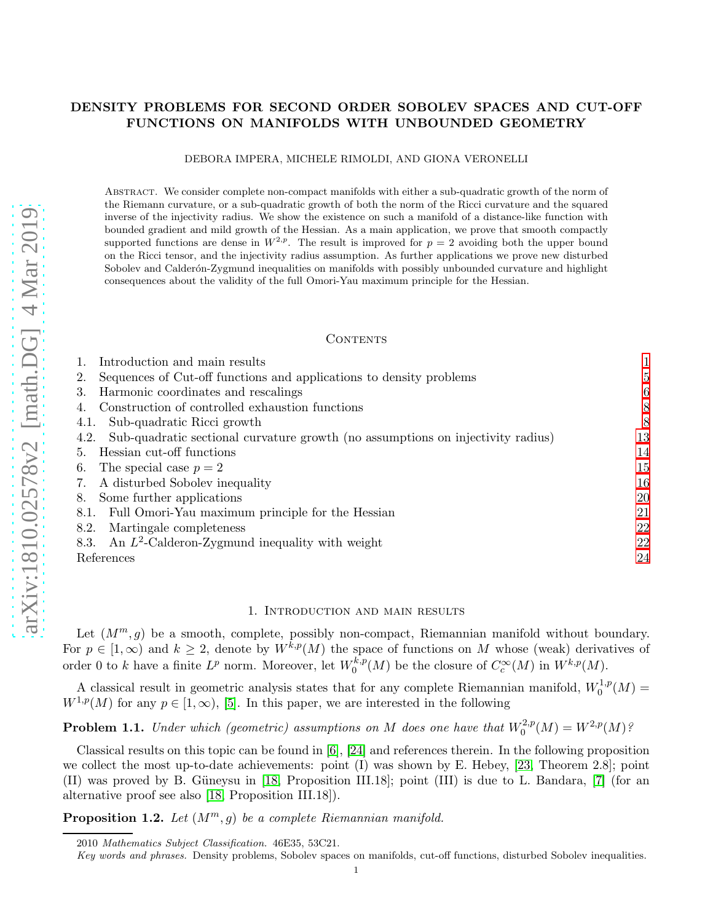# DENSITY PROBLEMS FOR SECOND ORDER SOBOLEV SPACES AND CUT-OFF FUNCTIONS ON MANIFOLDS WITH UNBOUNDED GEOMETRY

DEBORA IMPERA, MICHELE RIMOLDI, AND GIONA VERONELLI

Abstract. We consider complete non-compact manifolds with either a sub-quadratic growth of the norm of the Riemann curvature, or a sub-quadratic growth of both the norm of the Ricci curvature and the squared inverse of the injectivity radius. We show the existence on such a manifold of a distance-like function with bounded gradient and mild growth of the Hessian. As a main application, we prove that smooth compactly supported functions are dense in  $W^{2,p}$ . The result is improved for  $p = 2$  avoiding both the upper bound on the Ricci tensor, and the injectivity radius assumption. As further applications we prove new disturbed Sobolev and Calderón-Zygmund inequalities on manifolds with possibly unbounded curvature and highlight consequences about the validity of the full Omori-Yau maximum principle for the Hessian.

## **CONTENTS**

| Introduction and main results                                                           |    |
|-----------------------------------------------------------------------------------------|----|
| Sequences of Cut-off functions and applications to density problems<br>2.               | 5  |
| Harmonic coordinates and rescalings<br>3.                                               | 6  |
| Construction of controlled exhaustion functions<br>4.                                   | 8  |
| Sub-quadratic Ricci growth<br>4.1.                                                      | 8  |
| Sub-quadratic sectional curvature growth (no assumptions on injectivity radius)<br>4.2. | 13 |
| Hessian cut-off functions<br>5.                                                         | 14 |
| The special case $p = 2$<br>6.                                                          | 15 |
| A disturbed Sobolev inequality                                                          | 16 |
| Some further applications<br>8.                                                         | 20 |
| Full Omori-Yau maximum principle for the Hessian<br>8.1.                                | 21 |
| Martingale completeness<br>8.2.                                                         | 22 |
| An $L^2$ -Calderon-Zygmund inequality with weight<br>8.3.                               | 22 |
| References                                                                              | 24 |

#### 1. Introduction and main results

<span id="page-0-0"></span>Let  $(M^m, g)$  be a smooth, complete, possibly non-compact, Riemannian manifold without boundary. For  $p \in [1,\infty)$  and  $k \geq 2$ , denote by  $W^{k,p}(M)$  the space of functions on M whose (weak) derivatives of order 0 to k have a finite  $L^p$  norm. Moreover, let  $W_0^{k,p}$  $b_0^{k,p}(M)$  be the closure of  $C_c^{\infty}(M)$  in  $W^{k,p}(M)$ .

A classical result in geometric analysis states that for any complete Riemannian manifold,  $W_0^{1,p}$  $C^{1,p}_0(M) =$  $W^{1,p}(M)$  for any  $p \in [1,\infty)$ , [\[5\]](#page-23-1). In this paper, we are interested in the following

**Problem 1.1.** Under which (geometric) assumptions on M does one have that  $W_0^{2,p}$  $V_0^{2,p}(M) = W^{2,p}(M)$ ?

Classical results on this topic can be found in [\[6\]](#page-23-2), [\[24\]](#page-23-3) and references therein. In the following proposition we collect the most up-to-date achievements: point (I) was shown by E. Hebey, [\[23,](#page-23-4) Theorem 2.8]; point (II) was proved by B. Güneysu in [\[18,](#page-23-5) Proposition III.18]; point (III) is due to L. Bandara, [\[7\]](#page-23-6) (for an alternative proof see also [\[18,](#page-23-5) Proposition III.18]).

<span id="page-0-1"></span>**Proposition 1.2.** Let  $(M^m, g)$  be a complete Riemannian manifold.

<sup>2010</sup> Mathematics Subject Classification. 46E35, 53C21.

Key words and phrases. Density problems, Sobolev spaces on manifolds, cut-off functions, disturbed Sobolev inequalities.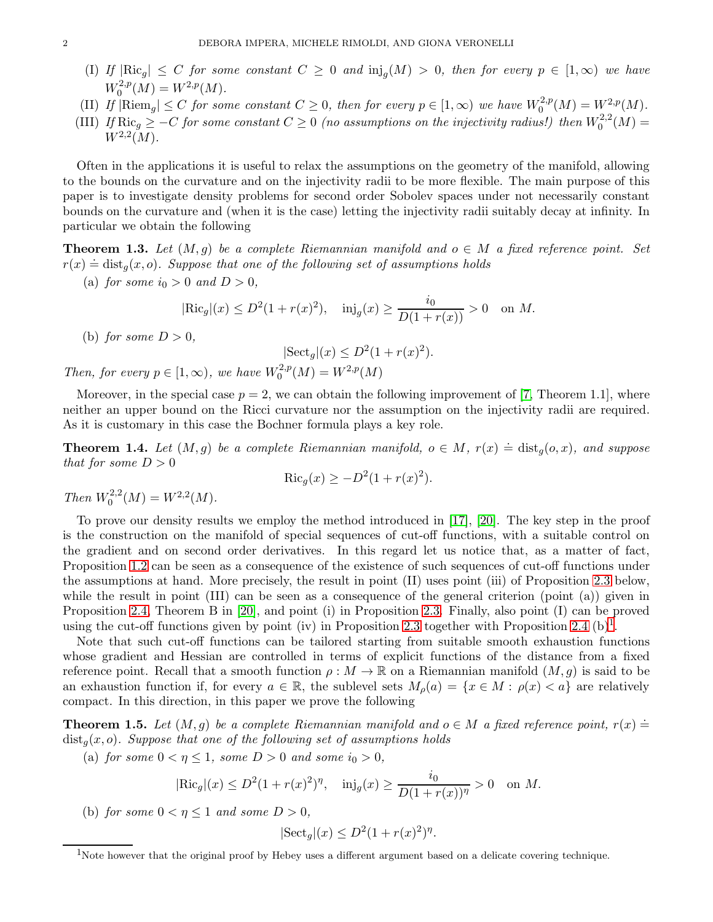- (I) If  $|\text{Ric}_g| \leq C$  for some constant  $C \geq 0$  and  $\text{inj}_g(M) > 0$ , then for every  $p \in [1,\infty)$  we have  $W_0^{2,p}$  $b_0^{2,p}(M) = W^{2,p}(M).$
- (II) If  $|\text{Riem}_{g}| \leq C$  for some constant  $C \geq 0$ , then for every  $p \in [1, \infty)$  we have  $W_0^{2,p}$  $U_0^{2,p}(M) = W^{2,p}(M).$
- (III) If  $\text{Ric}_g \geq -C$  for some constant  $C \geq 0$  (no assumptions on the injectivity radius!) then  $W_0^{2,2}$  $C^{2,2}(M) =$  $W^{2,2}(M)$ .

Often in the applications it is useful to relax the assumptions on the geometry of the manifold, allowing to the bounds on the curvature and on the injectivity radii to be more flexible. The main purpose of this paper is to investigate density problems for second order Sobolev spaces under not necessarily constant bounds on the curvature and (when it is the case) letting the injectivity radii suitably decay at infinity. In particular we obtain the following

<span id="page-1-2"></span>**Theorem 1.3.** Let  $(M, g)$  be a complete Riemannian manifold and  $o \in M$  a fixed reference point. Set  $r(x) \doteq \text{dist}_g(x, o)$ . Suppose that one of the following set of assumptions holds

(a) for some  $i_0 > 0$  and  $D > 0$ ,

$$
|\text{Ric}_g|(x) \le D^2(1+r(x)^2), \quad \text{inj}_g(x) \ge \frac{i_0}{D(1+r(x))} > 0 \quad \text{on } M.
$$

(b) for some  $D > 0$ ,

$$
|\text{Sect}_g|(x) \le D^2(1+r(x)^2).
$$

Then, for every  $p \in [1, \infty)$ , we have  $W_0^{2,p}$  $V_0^{2,p}(M) = W^{2,p}(M)$ 

Moreover, in the special case  $p = 2$ , we can obtain the following improvement of [\[7,](#page-23-6) Theorem 1.1], where neither an upper bound on the Ricci curvature nor the assumption on the injectivity radii are required. As it is customary in this case the Bochner formula plays a key role.

<span id="page-1-3"></span>**Theorem 1.4.** Let  $(M, g)$  be a complete Riemannian manifold,  $o \in M$ ,  $r(x) \doteq \text{dist}_g(o, x)$ , and suppose that for some  $D > 0$ 

$$
\operatorname{Ric}_g(x) \ge -D^2(1+r(x)^2).
$$

Then  $W_0^{2,2}$  $V_0^{2,2}(M) = W^{2,2}(M).$ 

To prove our density results we employ the method introduced in [\[17\]](#page-23-7), [\[20\]](#page-23-8). The key step in the proof is the construction on the manifold of special sequences of cut-off functions, with a suitable control on the gradient and on second order derivatives. In this regard let us notice that, as a matter of fact, Proposition [1.2](#page-0-1) can be seen as a consequence of the existence of such sequences of cut-off functions under the assumptions at hand. More precisely, the result in point (II) uses point (iii) of Proposition [2.3](#page-4-1) below, while the result in point (III) can be seen as a consequence of the general criterion (point (a)) given in Proposition [2.4,](#page-5-1) Theorem B in [\[20\]](#page-23-8), and point (i) in Proposition [2.3.](#page-4-1) Finally, also point (I) can be proved using the cut-off functions given by point (iv) in Proposition [2.3](#page-4-1) together with Proposition [2.4](#page-5-1) (b)<sup>[1](#page-1-0)</sup>.

Note that such cut-off functions can be tailored starting from suitable smooth exhaustion functions whose gradient and Hessian are controlled in terms of explicit functions of the distance from a fixed reference point. Recall that a smooth function  $\rho : M \to \mathbb{R}$  on a Riemannian manifold  $(M, g)$  is said to be an exhaustion function if, for every  $a \in \mathbb{R}$ , the sublevel sets  $M_{\rho}(a) = \{x \in M : \rho(x) < a\}$  are relatively compact. In this direction, in this paper we prove the following

<span id="page-1-1"></span>**Theorem 1.5.** Let  $(M, g)$  be a complete Riemannian manifold and  $o \in M$  a fixed reference point,  $r(x) =$  $dist<sub>a</sub>(x, o)$ . Suppose that one of the following set of assumptions holds

(a) for some  $0 < \eta \leq 1$ , some  $D > 0$  and some  $i_0 > 0$ ,

$$
|\text{Ric}_g|(x) \le D^2(1+r(x)^2)^{\eta}
$$
,  $\text{inj}_g(x) \ge \frac{i_0}{D(1+r(x))^{\eta}} > 0$  on M.

(b) for some  $0 < \eta \leq 1$  and some  $D > 0$ ,

$$
|\text{Sect}_g|(x) \le D^2(1+r(x)^2)^{\eta}.
$$

<span id="page-1-0"></span><sup>&</sup>lt;sup>1</sup>Note however that the original proof by Hebey uses a different argument based on a delicate covering technique.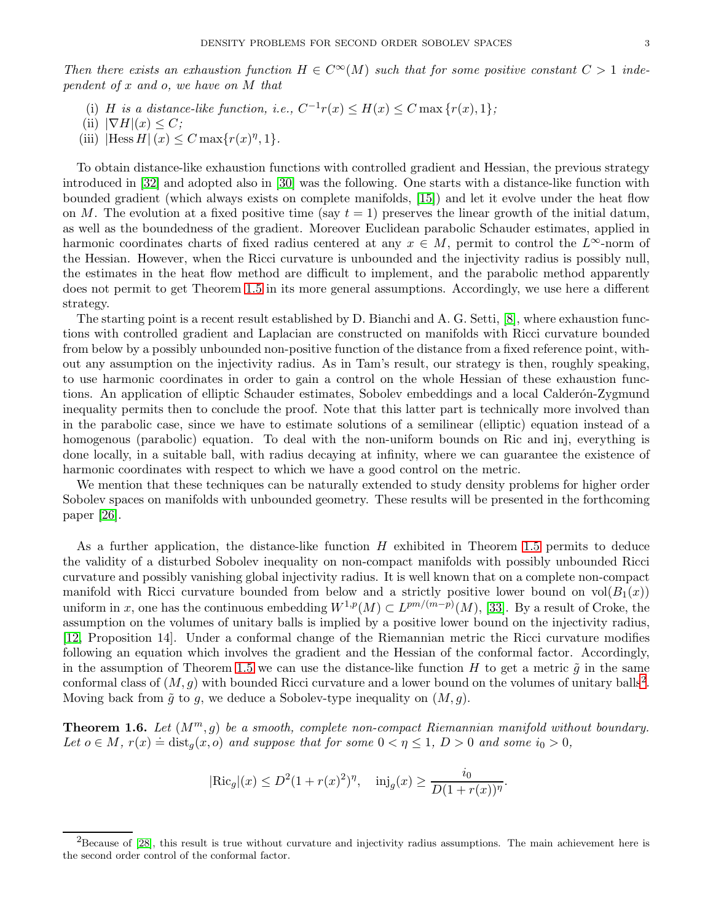Then there exists an exhaustion function  $H \in C^{\infty}(M)$  such that for some positive constant  $C > 1$  independent of x and o, we have on M that

- (i) H is a distance-like function, i.e.,  $C^{-1}r(x) \leq H(x) \leq C \max\{r(x), 1\};$
- (ii)  $|\nabla H|(x) \leq C$ ;
- (iii)  $\left| \text{Hess } H \right| (x) \leq C \max \{ r(x)^{\eta}, 1 \}.$

To obtain distance-like exhaustion functions with controlled gradient and Hessian, the previous strategy introduced in [\[32\]](#page-24-0) and adopted also in [\[30\]](#page-23-9) was the following. One starts with a distance-like function with bounded gradient (which always exists on complete manifolds, [\[15\]](#page-23-10)) and let it evolve under the heat flow on M. The evolution at a fixed positive time (say  $t = 1$ ) preserves the linear growth of the initial datum, as well as the boundedness of the gradient. Moreover Euclidean parabolic Schauder estimates, applied in harmonic coordinates charts of fixed radius centered at any  $x \in M$ , permit to control the  $L^{\infty}$ -norm of the Hessian. However, when the Ricci curvature is unbounded and the injectivity radius is possibly null, the estimates in the heat flow method are difficult to implement, and the parabolic method apparently does not permit to get Theorem [1.5](#page-1-1) in its more general assumptions. Accordingly, we use here a different strategy.

The starting point is a recent result established by D. Bianchi and A. G. Setti, [\[8\]](#page-23-11), where exhaustion functions with controlled gradient and Laplacian are constructed on manifolds with Ricci curvature bounded from below by a possibly unbounded non-positive function of the distance from a fixed reference point, without any assumption on the injectivity radius. As in Tam's result, our strategy is then, roughly speaking, to use harmonic coordinates in order to gain a control on the whole Hessian of these exhaustion functions. An application of elliptic Schauder estimates, Sobolev embeddings and a local Calderon-Zygmund inequality permits then to conclude the proof. Note that this latter part is technically more involved than in the parabolic case, since we have to estimate solutions of a semilinear (elliptic) equation instead of a homogenous (parabolic) equation. To deal with the non-uniform bounds on Ric and inj, everything is done locally, in a suitable ball, with radius decaying at infinity, where we can guarantee the existence of harmonic coordinates with respect to which we have a good control on the metric.

We mention that these techniques can be naturally extended to study density problems for higher order Sobolev spaces on manifolds with unbounded geometry. These results will be presented in the forthcoming paper [\[26\]](#page-23-12).

As a further application, the distance-like function  $H$  exhibited in Theorem [1.5](#page-1-1) permits to deduce the validity of a disturbed Sobolev inequality on non-compact manifolds with possibly unbounded Ricci curvature and possibly vanishing global injectivity radius. It is well known that on a complete non-compact manifold with Ricci curvature bounded from below and a strictly positive lower bound on  $vol(B_1(x))$ uniform in x, one has the continuous embedding  $W^{1,p}(M) \subset L^{pm/(m-p)}(M)$ , [\[33\]](#page-24-1). By a result of Croke, the assumption on the volumes of unitary balls is implied by a positive lower bound on the injectivity radius, [\[12,](#page-23-13) Proposition 14]. Under a conformal change of the Riemannian metric the Ricci curvature modifies following an equation which involves the gradient and the Hessian of the conformal factor. Accordingly, in the assumption of Theorem [1.5](#page-1-1) we can use the distance-like function H to get a metric  $\tilde{q}$  in the same conformal class of  $(M, g)$  with bounded Ricci curvature and a lower bound on the volumes of unitary balls<sup>[2](#page-2-0)</sup>. Moving back from  $\tilde{g}$  to g, we deduce a Sobolev-type inequality on  $(M, g)$ .

<span id="page-2-1"></span>**Theorem 1.6.** Let  $(M^m, g)$  be a smooth, complete non-compact Riemannian manifold without boundary. Let  $o \in M$ ,  $r(x) \doteq \text{dist}_g(x, o)$  and suppose that for some  $0 < \eta \leq 1$ ,  $D > 0$  and some  $i_0 > 0$ ,

$$
|\text{Ric}_g|(x) \le D^2 (1+r(x)^2)^{\eta}, \quad \text{inj}_g(x) \ge \frac{i_0}{D(1+r(x))^{\eta}}.
$$

<span id="page-2-0"></span> ${}^{2}$ Because of [\[28\]](#page-23-14), this result is true without curvature and injectivity radius assumptions. The main achievement here is the second order control of the conformal factor.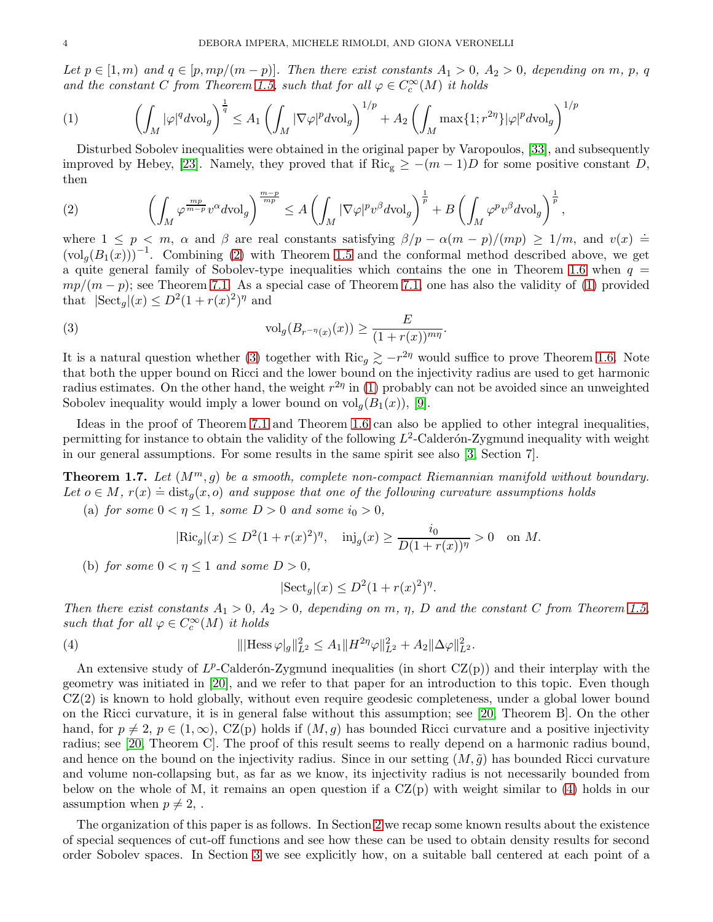Let  $p \in [1, m)$  and  $q \in [p, mp/(m-p)]$ . Then there exist constants  $A_1 > 0$ ,  $A_2 > 0$ , depending on m, p, q and the constant C from Theorem [1.5,](#page-1-1) such that for all  $\varphi \in C_c^{\infty}(M)$  it holds

<span id="page-3-1"></span>
$$
(1) \qquad \left(\int_M |\varphi|^q d\mathrm{vol}_g\right)^{\frac{1}{q}} \le A_1 \left(\int_M |\nabla \varphi|^p d\mathrm{vol}_g\right)^{1/p} + A_2 \left(\int_M \max\{1; r^{2\eta}\} |\varphi|^p d\mathrm{vol}_g\right)^{1/p}
$$

Disturbed Sobolev inequalities were obtained in the original paper by Varopoulos, [\[33\]](#page-24-1), and subsequently improved by Hebey, [\[23\]](#page-23-4). Namely, they proved that if Ric<sub>g</sub>  $\geq -(m-1)D$  for some positive constant D, then

<span id="page-3-0"></span>
$$
(2) \qquad \left(\int_M \varphi^{\frac{mp}{m-p}} v^{\alpha} d\mathrm{vol}_g\right)^{\frac{m-p}{mp}} \leq A \left(\int_M |\nabla \varphi|^p v^{\beta} d\mathrm{vol}_g\right)^{\frac{1}{p}} + B \left(\int_M \varphi^p v^{\beta} d\mathrm{vol}_g\right)^{\frac{1}{p}},
$$

where  $1 \leq p \leq m$ ,  $\alpha$  and  $\beta$  are real constants satisfying  $\beta/p - \alpha(m-p)/(mp) \geq 1/m$ , and  $v(x) =$  $(\text{vol}_g(B_1(x)))^{-1}$ . Combining [\(2\)](#page-3-0) with Theorem [1.5](#page-1-1) and the conformal method described above, we get a quite general family of Sobolev-type inequalities which contains the one in Theorem [1.6](#page-2-1) when  $q =$  $mp/(m-p)$ ; see Theorem [7.1.](#page-15-1) As a special case of Theorem [7.1,](#page-15-1) one has also the validity of [\(1\)](#page-3-1) provided that  $|\text{Sect}_g|(x) \le D^2(1+r(x)^2)^\eta$  and

<span id="page-3-2"></span>(3) 
$$
\operatorname{vol}_g(B_{r^{-\eta}(x)}(x)) \geq \frac{E}{(1+r(x))^{m\eta}}.
$$

It is a natural question whether [\(3\)](#page-3-2) together with  $\text{Ric}_g \gtrsim -r^{2\eta}$  would suffice to prove Theorem [1.6.](#page-2-1) Note that both the upper bound on Ricci and the lower bound on the injectivity radius are used to get harmonic radius estimates. On the other hand, the weight  $r^{2\eta}$  in [\(1\)](#page-3-1) probably can not be avoided since an unweighted Sobolev inequality would imply a lower bound on  $\text{vol}_q(B_1(x))$ , [\[9\]](#page-23-15).

Ideas in the proof of Theorem [7.1](#page-15-1) and Theorem [1.6](#page-2-1) can also be applied to other integral inequalities, permitting for instance to obtain the validity of the following  $L^2$ -Calderón-Zygmund inequality with weight in our general assumptions. For some results in the same spirit see also [\[3,](#page-23-16) Section 7].

<span id="page-3-4"></span>**Theorem 1.7.** Let  $(M^m, g)$  be a smooth, complete non-compact Riemannian manifold without boundary. Let  $o \in M$ ,  $r(x) \doteq \text{dist}_g(x, o)$  and suppose that one of the following curvature assumptions holds

(a) for some  $0 < \eta \leq 1$ , some  $D > 0$  and some  $i_0 > 0$ ,

$$
|\text{Ric}_g|(x) \le D^2(1+r(x)^2)^{\eta}, \quad \text{inj}_g(x) \ge \frac{i_0}{D(1+r(x))^{\eta}} > 0 \quad \text{on } M.
$$

(b) for some  $0 < \eta \leq 1$  and some  $D > 0$ ,

$$
|\text{Sect}_g|(x) \le D^2(1+r(x)^2)^{\eta}.
$$

Then there exist constants  $A_1 > 0$ ,  $A_2 > 0$ , depending on m,  $\eta$ , D and the constant C from Theorem [1.5,](#page-1-1) such that for all  $\varphi \in C_c^{\infty}(M)$  it holds

<span id="page-3-3"></span>(4) 
$$
\| |\text{Hess}\,\varphi|_g \|_{L^2}^2 \leq A_1 \| H^{2\eta} \varphi \|_{L^2}^2 + A_2 \| \Delta \varphi \|_{L^2}^2.
$$

An extensive study of  $L^p$ -Calderón-Zygmund inequalities (in short  $CZ(p)$ ) and their interplay with the geometry was initiated in [\[20\]](#page-23-8), and we refer to that paper for an introduction to this topic. Even though CZ(2) is known to hold globally, without even require geodesic completeness, under a global lower bound on the Ricci curvature, it is in general false without this assumption; see [\[20,](#page-23-8) Theorem B]. On the other hand, for  $p \neq 2$ ,  $p \in (1,\infty)$ , CZ(p) holds if  $(M,g)$  has bounded Ricci curvature and a positive injectivity radius; see [\[20,](#page-23-8) Theorem C]. The proof of this result seems to really depend on a harmonic radius bound, and hence on the bound on the injectivity radius. Since in our setting  $(M, \tilde{q})$  has bounded Ricci curvature and volume non-collapsing but, as far as we know, its injectivity radius is not necessarily bounded from below on the whole of M, it remains an open question if a  $CZ(p)$  with weight similar to [\(4\)](#page-3-3) holds in our assumption when  $p \neq 2$ ,.

The organization of this paper is as follows. In Section [2](#page-4-0) we recap some known results about the existence of special sequences of cut-off functions and see how these can be used to obtain density results for second order Sobolev spaces. In Section [3](#page-5-0) we see explicitly how, on a suitable ball centered at each point of a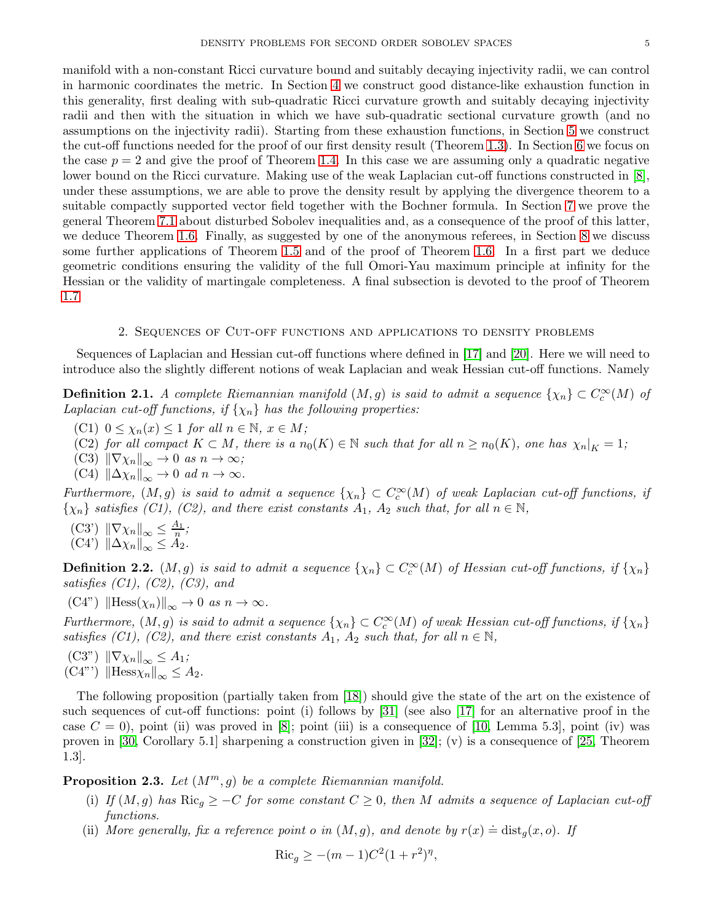manifold with a non-constant Ricci curvature bound and suitably decaying injectivity radii, we can control in harmonic coordinates the metric. In Section [4](#page-7-0) we construct good distance-like exhaustion function in this generality, first dealing with sub-quadratic Ricci curvature growth and suitably decaying injectivity radii and then with the situation in which we have sub-quadratic sectional curvature growth (and no assumptions on the injectivity radii). Starting from these exhaustion functions, in Section [5](#page-13-0) we construct the cut-off functions needed for the proof of our first density result (Theorem [1.3\)](#page-1-2). In Section [6](#page-14-0) we focus on the case  $p = 2$  and give the proof of Theorem [1.4.](#page-1-3) In this case we are assuming only a quadratic negative lower bound on the Ricci curvature. Making use of the weak Laplacian cut-off functions constructed in [\[8\]](#page-23-11), under these assumptions, we are able to prove the density result by applying the divergence theorem to a suitable compactly supported vector field together with the Bochner formula. In Section [7](#page-15-0) we prove the general Theorem [7.1](#page-15-1) about disturbed Sobolev inequalities and, as a consequence of the proof of this latter, we deduce Theorem [1.6.](#page-2-1) Finally, as suggested by one of the anonymous referees, in Section [8](#page-19-0) we discuss some further applications of Theorem [1.5](#page-1-1) and of the proof of Theorem [1.6.](#page-2-1) In a first part we deduce geometric conditions ensuring the validity of the full Omori-Yau maximum principle at infinity for the Hessian or the validity of martingale completeness. A final subsection is devoted to the proof of Theorem [1.7](#page-3-4)

## 2. Sequences of Cut-off functions and applications to density problems

<span id="page-4-0"></span>Sequences of Laplacian and Hessian cut-off functions where defined in [\[17\]](#page-23-7) and [\[20\]](#page-23-8). Here we will need to introduce also the slightly different notions of weak Laplacian and weak Hessian cut-off functions. Namely

**Definition 2.1.** A complete Riemannian manifold  $(M, g)$  is said to admit a sequence  $\{\chi_n\} \subset C_c^{\infty}(M)$  of Laplacian cut-off functions, if  $\{\chi_n\}$  has the following properties:

- (C1)  $0 \leq \chi_n(x) \leq 1$  for all  $n \in \mathbb{N}, x \in M$ ;
- (C2) for all compact  $K \subset M$ , there is a  $n_0(K) \in \mathbb{N}$  such that for all  $n \ge n_0(K)$ , one has  $\chi_n|_K = 1$ ;
- (C3)  $\|\nabla \chi_n\|_{\infty} \to 0 \text{ as } n \to \infty;$
- (C4)  $\|\Delta \chi_n\|_{\infty} \to 0$  ad  $n \to \infty$ .

Furthermore,  $(M, g)$  is said to admit a sequence  $\{\chi_n\} \subset C_c^{\infty}(M)$  of weak Laplacian cut-off functions, if  $\{\chi_n\}$  satisfies (C1), (C2), and there exist constants  $A_1$ ,  $A_2$  such that, for all  $n \in \mathbb{N}$ ,

 $\left(\begin{array}{c|c}\n\text{C3'}\n\end{array}\right)\n\|\nabla \chi_n\|_{\infty} \le \frac{A_1}{n}$  $\frac{41}{n}$  ;  $(C4') \| \Delta \chi_n \|_{\infty} \leq A_2.$ 

**Definition 2.2.**  $(M, g)$  is said to admit a sequence  $\{\chi_n\} \subset C_c^{\infty}(M)$  of Hessian cut-off functions, if  $\{\chi_n\}$ satisfies  $(C1)$ ,  $(C2)$ ,  $(C3)$ , and

 $(C4") \Vert Hess(\chi_n)\Vert_{\infty} \to 0 \text{ as } n \to \infty.$ 

Furthermore,  $(M, g)$  is said to admit a sequence  $\{\chi_n\} \subset C_c^{\infty}(M)$  of weak Hessian cut-off functions, if  $\{\chi_n\}$ satisfies (C1), (C2), and there exist constants  $A_1$ ,  $A_2$  such that, for all  $n \in \mathbb{N}$ ,

 $(C3") \|\nabla \chi_n\|_{\infty} \leq A_1;$  $(C4'') \|\text{Hess}\chi_n\|_{\infty} \leq A_2.$ 

The following proposition (partially taken from [\[18\]](#page-23-5)) should give the state of the art on the existence of such sequences of cut-off functions: point (i) follows by [\[31\]](#page-24-2) (see also [\[17\]](#page-23-7) for an alternative proof in the case  $C = 0$ , point (ii) was proved in [\[8\]](#page-23-11); point (iii) is a consequence of [\[10,](#page-23-17) Lemma 5.3], point (iv) was proven in [\[30,](#page-23-9) Corollary 5.1] sharpening a construction given in [\[32\]](#page-24-0); (v) is a consequence of [\[25,](#page-23-18) Theorem 1.3].

<span id="page-4-1"></span>**Proposition 2.3.** Let  $(M^m, g)$  be a complete Riemannian manifold.

- (i) If  $(M, g)$  has Ric<sub>g</sub>  $\geq -C$  for some constant  $C \geq 0$ , then M admits a sequence of Laplacian cut-off functions.
- (ii) More generally, fix a reference point o in  $(M, g)$ , and denote by  $r(x) \doteq \text{dist}_g(x, o)$ . If

$$
\text{Ric}_g \ge -(m-1)C^2(1+r^2)^{\eta},
$$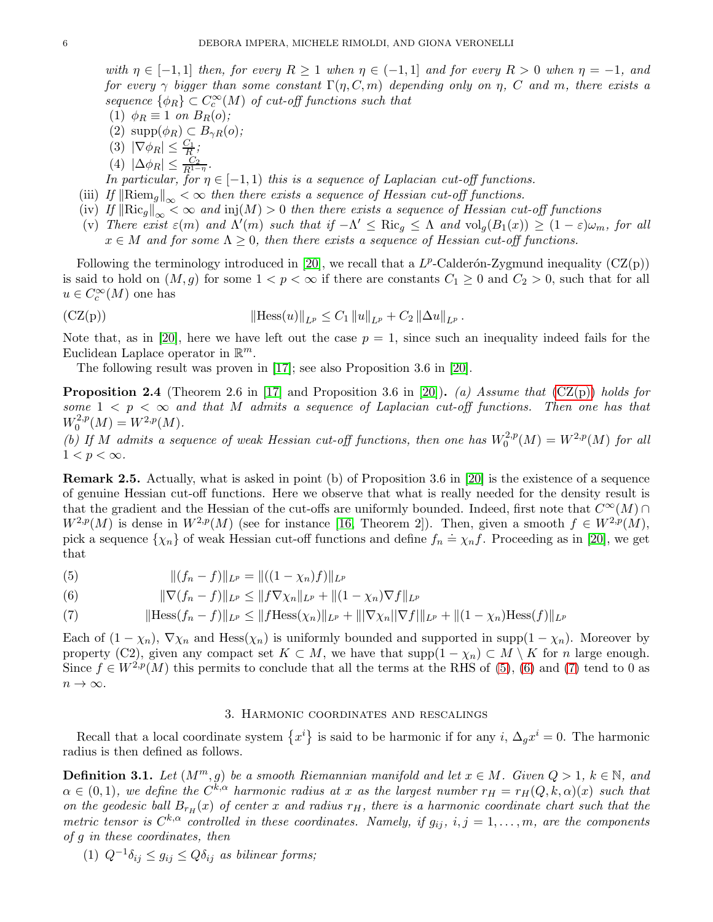with  $\eta \in [-1,1]$  then, for every  $R \geq 1$  when  $\eta \in (-1,1]$  and for every  $R > 0$  when  $\eta = -1$ , and for every  $\gamma$  bigger than some constant  $\Gamma(\eta, C, m)$  depending only on  $\eta$ , C and m, there exists a sequence  $\{\phi_R\} \subset C_c^{\infty}(M)$  of cut-off functions such that

- (1)  $\phi_R \equiv 1$  on  $B_R(o)$ ;
- (2)  $\text{supp}(\phi_R) \subset B_{\gamma R}(o);$
- (3)  $|\nabla \phi_R| \leq \frac{C_1}{R}$ ;
- (4)  $|\Delta \phi_R| \leq \frac{C_2}{R^{1-\eta}}$ .

In particular, for  $\eta \in [-1,1)$  this is a sequence of Laplacian cut-off functions.

- (iii) If  $\|\text{Riem}_{g}\|_{\infty} < \infty$  then there exists a sequence of Hessian cut-off functions.
- (iv) If  $\|\text{Ric}_g\|_{\infty} < \infty$  and  $\text{inj}(M) > 0$  then there exists a sequence of Hessian cut-off functions
- (v) There exist  $\varepsilon(m)$  and  $\Lambda'(m)$  such that if  $-\Lambda' \leq \text{Ric}_g \leq \Lambda$  and  $\text{vol}_g(B_1(x)) \geq (1-\varepsilon)\omega_m$ , for all  $x \in M$  and for some  $\Lambda \geq 0$ , then there exists a sequence of Hessian cut-off functions.

Following the terminology introduced in [\[20\]](#page-23-8), we recall that a  $L^p$ -Calderón-Zygmund inequality  $(CZ(p))$ is said to hold on  $(M, g)$  for some  $1 < p < \infty$  if there are constants  $C_1 \geq 0$  and  $C_2 > 0$ , such that for all  $u \in C_c^{\infty}(M)$  one has

<span id="page-5-2"></span>(CZ(p))  $\|\text{Hess}(u)\|_{L^p} \leq C_1 \|u\|_{L^p} + C_2 \|\Delta u\|_{L^p}$ .

Note that, as in [\[20\]](#page-23-8), here we have left out the case  $p = 1$ , since such an inequality indeed fails for the Euclidean Laplace operator in  $\mathbb{R}^m$ .

The following result was proven in [\[17\]](#page-23-7); see also Proposition 3.6 in [\[20\]](#page-23-8).

<span id="page-5-1"></span>**Proposition 2.4** (Theorem 2.6 in [\[17\]](#page-23-7) and Proposition 3.6 in [\[20\]](#page-23-8)). (a) Assume that  $(CZ(p))$  holds for some  $1 \leq p \leq \infty$  and that M admits a sequence of Laplacian cut-off functions. Then one has that  $W_0^{2,p}$  $b_0^{2,p}(M) = W^{2,p}(M).$ 

(b) If M admits a sequence of weak Hessian cut-off functions, then one has  $W_0^{2,p}$  $b_0^{2,p}(M) = W^{2,p}(M)$  for all  $1 < p < \infty$ .

<span id="page-5-6"></span>Remark 2.5. Actually, what is asked in point (b) of Proposition 3.6 in [\[20\]](#page-23-8) is the existence of a sequence of genuine Hessian cut-off functions. Here we observe that what is really needed for the density result is that the gradient and the Hessian of the cut-offs are uniformly bounded. Indeed, first note that  $C^{\infty}(M) \cap$  $W^{2,p}(M)$  is dense in  $W^{2,p}(M)$  (see for instance [\[16,](#page-23-19) Theorem 2]). Then, given a smooth  $f \in W^{2,p}(M)$ , pick a sequence  $\{\chi_n\}$  of weak Hessian cut-off functions and define  $f_n \doteq \chi_n f$ . Proceeding as in [\[20\]](#page-23-8), we get that

<span id="page-5-3"></span>(5)  $||(f_n - f)||_{L^p} = ||((1 - \chi_n)f)||_{L^p}$ 

<span id="page-5-4"></span>(6) 
$$
\|\nabla (f_n - f)\|_{L^p} \le \|f \nabla \chi_n\|_{L^p} + \|(1 - \chi_n) \nabla f\|_{L^p}
$$

<span id="page-5-5"></span>(7) 
$$
\|\text{Hess}(f_n - f)\|_{L^p} \le \|f\text{Hess}(\chi_n)\|_{L^p} + \||\nabla \chi_n||\nabla f|\|_{L^p} + \|(1 - \chi_n)\text{Hess}(f)\|_{L^p}
$$

Each of  $(1 - \chi_n)$ ,  $\nabla \chi_n$  and Hess $(\chi_n)$  is uniformly bounded and supported in supp $(1 - \chi_n)$ . Moreover by property (C2), given any compact set  $K \subset M$ , we have that supp $(1 - \chi_n) \subset M \setminus K$  for n large enough. Since  $f \in W^{2,p}(M)$  this permits to conclude that all the terms at the RHS of [\(5\)](#page-5-3), [\(6\)](#page-5-4) and [\(7\)](#page-5-5) tend to 0 as  $n\to\infty.$ 

#### 3. Harmonic coordinates and rescalings

<span id="page-5-0"></span>Recall that a local coordinate system  $\{x^i\}$  is said to be harmonic if for any  $i$ ,  $\Delta_g x^i = 0$ . The harmonic radius is then defined as follows.

**Definition 3.1.** Let  $(M^m, g)$  be a smooth Riemannian manifold and let  $x \in M$ . Given  $Q > 1$ ,  $k \in \mathbb{N}$ , and  $\alpha \in (0,1)$ , we define the  $C^{k,\alpha}$  harmonic radius at x as the largest number  $r_H = r_H(Q, k, \alpha)(x)$  such that on the geodesic ball  $B_{r_H}(x)$  of center x and radius  $r_H$ , there is a harmonic coordinate chart such that the metric tensor is  $C^{k,\alpha}$  controlled in these coordinates. Namely, if  $g_{ij}$ ,  $i, j = 1, \ldots, m$ , are the components of g in these coordinates, then

(1)  $Q^{-1}\delta_{ij} \leq g_{ij} \leq Q\delta_{ij}$  as bilinear forms;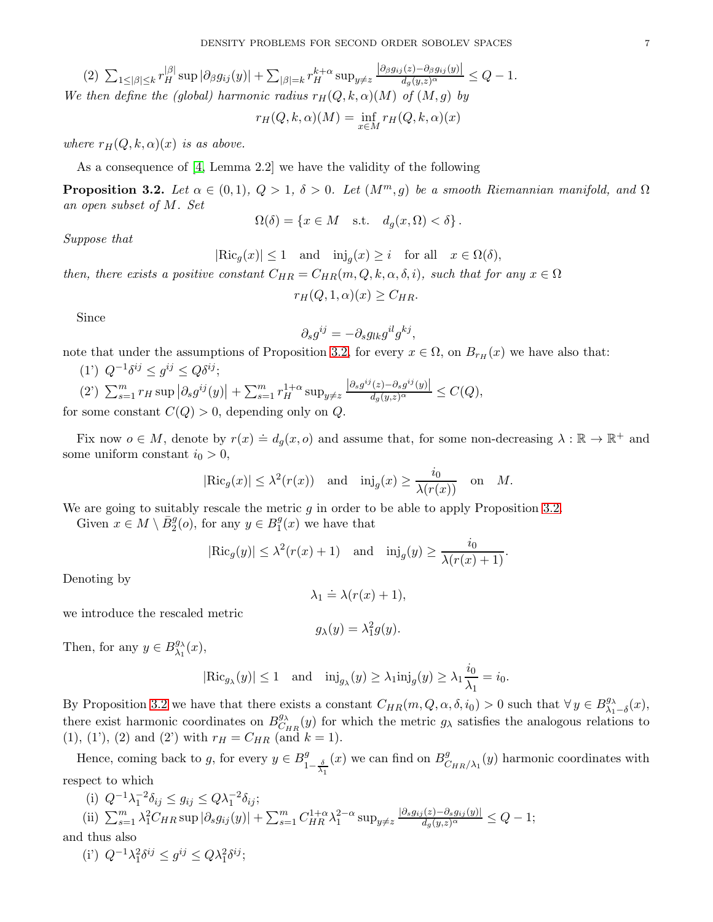(2) 
$$
\sum_{1 \leq |\beta| \leq k} r_H^{|\beta|} \sup |\partial_{\beta} g_{ij}(y)| + \sum_{|\beta|=k} r_H^{k+\alpha} \sup_{y \neq z} \frac{|\partial_{\beta} g_{ij}(z) - \partial_{\beta} g_{ij}(y)|}{d_g(y,z)^{\alpha}} \leq Q - 1.
$$
  
We then define the (global) harmonic radius  $r_H(Q, k, \alpha)(M)$  of  $(M, g)$  by  

$$
r_H(Q, k, \alpha)(M) = \inf_{x \in M} r_H(Q, k, \alpha)(x)
$$

where  $r_H(Q, k, \alpha)(x)$  is as above.

As a consequence of [\[4,](#page-23-20) Lemma 2.2] we have the validity of the following

<span id="page-6-0"></span>**Proposition 3.2.** Let  $\alpha \in (0,1)$ ,  $Q > 1$ ,  $\delta > 0$ . Let  $(M^m, g)$  be a smooth Riemannian manifold, and  $\Omega$ an open subset of M. Set

 $\Omega(\delta) = \{x \in M \text{ s.t. } d_q(x, \Omega) < \delta\}.$ 

Suppose that

 $|\text{Ric}_g(x)| \le 1$  and  $\text{inj}_g(x) \ge i$  for all  $x \in \Omega(\delta)$ ,

then, there exists a positive constant  $C_{HR} = C_{HR}(m, Q, k, \alpha, \delta, i)$ , such that for any  $x \in \Omega$ 

 $r_H(Q, 1, \alpha)(x) \geq C_{HR}.$ 

Since

$$
\partial_s g^{ij} = -\partial_s g_{lk} g^{il} g^{kj}
$$

,

note that under the assumptions of Proposition [3.2,](#page-6-0) for every  $x \in \Omega$ , on  $B_{r_H}(x)$  we have also that:

- (1')  $Q^{-1}\delta^{ij} \leq g^{ij} \leq Q\delta^{ij};$
- $(2')$   $\sum_{s=1}^{m} r_H \sup \left| \partial_s g^{ij}(y) \right| + \sum_{s=1}^{m} r_H^{1+\alpha} \sup_{y \neq z} \frac{\left| \partial_s g^{ij}(z) \partial_s g^{ij}(y) \right|}{d_g(y,z)^{\alpha}} \leq C(Q),$ for some constant  $C(Q) > 0$ , depending only on Q.

Fix now  $o \in M$ , denote by  $r(x) \doteq d_g(x, o)$  and assume that, for some non-decreasing  $\lambda : \mathbb{R} \to \mathbb{R}^+$  and some uniform constant  $i_0 > 0$ ,

$$
|\text{Ric}_g(x)| \leq \lambda^2(r(x))
$$
 and  $\text{inj}_g(x) \geq \frac{i_0}{\lambda(r(x))}$  on M.

We are going to suitably rescale the metric  $g$  in order to be able to apply Proposition [3.2.](#page-6-0)

Given  $x \in M \setminus \overline{B_2^g}(o)$ , for any  $y \in B_1^g$  $_1^g(x)$  we have that

$$
|\text{Ric}_g(y)| \leq \lambda^2(r(x) + 1)
$$
 and  $\text{inj}_g(y) \geq \frac{i_0}{\lambda(r(x) + 1)}$ .

Denoting by

 $\lambda_1 \doteq \lambda(r(x) + 1),$ 

we introduce the rescaled metric

$$
g_{\lambda}(y) = \lambda_1^2 g(y).
$$

Then, for any  $y \in B^{g_{\lambda}}_{\lambda_1}$  $\frac{g_{\lambda}}{\lambda_1}(x),$ 

$$
|\text{Ric}_{g_\lambda}(y)| \le 1
$$
 and  $\text{inj}_{g_\lambda}(y) \ge \lambda_1 \text{inj}_g(y) \ge \lambda_1 \frac{i_0}{\lambda_1} = i_0.$ 

By Proposition [3.2](#page-6-0) we have that there exists a constant  $C_{HR}(m, Q, \alpha, \delta, i_0) > 0$  such that  $\forall y \in B_{\lambda_1}^{g_{\lambda}}$  $\sum_{\lambda_1-\delta}^{g_{\lambda}}(x),$ there exist harmonic coordinates on  $B_{C_i}^{g_{\lambda}}$  $C_{HR}(y)$  for which the metric  $g_{\lambda}$  satisfies the analogous relations to (1), (1'), (2) and (2') with  $r_H = C_{HR}$  (and  $k = 1$ ).

Hence, coming back to g, for every  $y \in B_1^g$  $1-\frac{\delta}{\lambda_1}$  $(x)$  we can find on  $B_{\epsilon}^{g}$  $C_{HR}/\lambda_1(y)$  harmonic coordinates with respect to which

(i) 
$$
Q^{-1} \lambda_1^{-2} \delta_{ij} \le g_{ij} \le Q \lambda_1^{-2} \delta_{ij};
$$
  
\n(ii)  $\sum_{s=1}^m \lambda_1^2 C_{HR} \sup |\partial_s g_{ij}(y)| + \sum_{s=1}^m C_{HR}^{1+\alpha} \lambda_1^{2-\alpha} \sup_{y \ne z} \frac{|\partial_s g_{ij}(z) - \partial_s g_{ij}(y)|}{d_g(y,z)^\alpha} \le Q - 1;$ 

and thus also

$$
(i') Q^{-1} \lambda_1^2 \delta^{ij} \le g^{ij} \le Q \lambda_1^2 \delta^{ij};
$$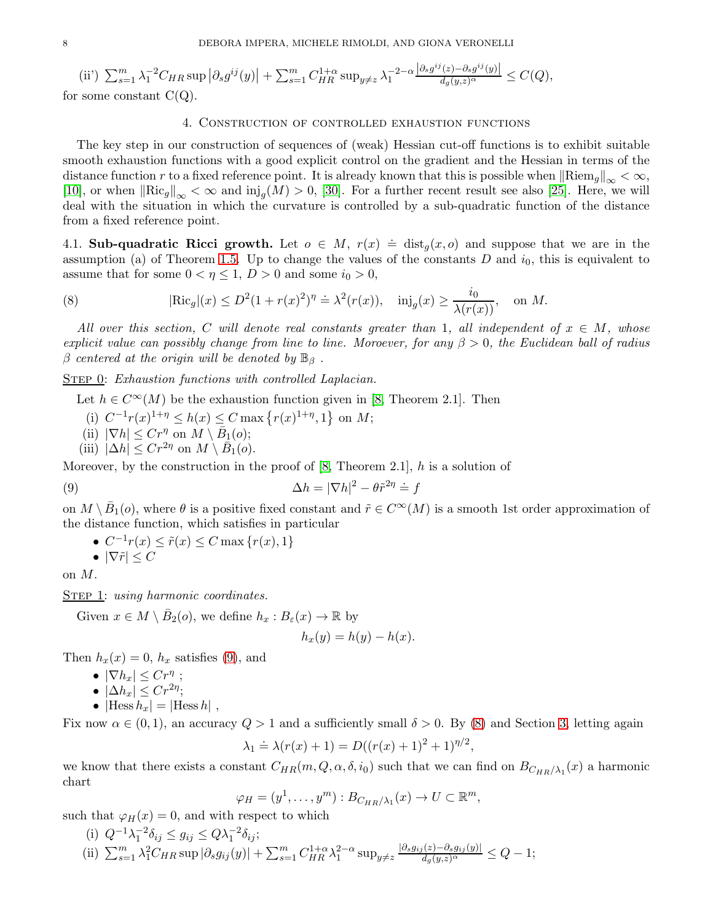(ii')  $\sum_{s=1}^m \lambda_1^{-2} C_{HR} \sup |\partial_s g^{ij}(y)| + \sum_{s=1}^m C_{HR}^{1+\alpha} \sup_{y \neq z} \lambda_1^{-2-\alpha} \frac{|\partial_s g^{ij}(z) - \partial_s g^{ij}(y)|}{d_g(y,z)^\alpha} \leq C(Q),$ for some constant  $C(Q)$ .

### 4. Construction of controlled exhaustion functions

<span id="page-7-0"></span>The key step in our construction of sequences of (weak) Hessian cut-off functions is to exhibit suitable smooth exhaustion functions with a good explicit control on the gradient and the Hessian in terms of the distance function r to a fixed reference point. It is already known that this is possible when  $\|\text{Riem}_{q}\|_{\infty}<\infty$ , [\[10\]](#page-23-17), or when  $\|\text{Ric}_g\|_{\infty} < \infty$  and  $\text{inj}_g(M) > 0$ , [\[30\]](#page-23-9). For a further recent result see also [\[25\]](#page-23-18). Here, we will deal with the situation in which the curvature is controlled by a sub-quadratic function of the distance from a fixed reference point.

<span id="page-7-1"></span>4.1. Sub-quadratic Ricci growth. Let  $o \in M$ ,  $r(x) = \text{dist}_g(x, o)$  and suppose that we are in the assumption (a) of Theorem [1.5.](#page-1-1) Up to change the values of the constants  $D$  and  $i_0$ , this is equivalent to assume that for some  $0 < \eta \leq 1$ ,  $D > 0$  and some  $i_0 > 0$ ,

<span id="page-7-3"></span>(8) 
$$
|\mathrm{Ric}_g|(x) \le D^2(1+r(x)^2)^{\eta} \doteq \lambda^2(r(x)), \quad \mathrm{inj}_g(x) \ge \frac{i_0}{\lambda(r(x))}, \quad \mathrm{on} \ M.
$$

All over this section, C will denote real constants greater than 1, all independent of  $x \in M$ , whose explicit value can possibly change from line to line. Moroever, for any  $\beta > 0$ , the Euclidean ball of radius β centered at the origin will be denoted by  $\mathbb{B}_\beta$ .

STEP 0: Exhaustion functions with controlled Laplacian.

Let  $h \in C^{\infty}(M)$  be the exhaustion function given in [\[8,](#page-23-11) Theorem 2.1]. Then

- (i)  $C^{-1}r(x)^{1+\eta} \leq h(x) \leq C \max\{r(x)^{1+\eta}, 1\}$  on M;
- (ii)  $|\nabla h| \leq Cr^{\eta}$  on  $M \setminus \bar{B}_1(o);$
- (iii)  $|\Delta h| \le Cr^{2\eta}$  on  $M \setminus \overline{B}_1(o)$ .

Moreover, by the construction in the proof of  $[8,$  Theorem 2.1, h is a solution of

(9) 
$$
\Delta h = |\nabla h|^2 - \theta \tilde{r}^{2\eta} \doteq f
$$

on  $M \setminus \overline{B}_1(o)$ , where  $\theta$  is a positive fixed constant and  $\tilde{r} \in C^{\infty}(M)$  is a smooth 1st order approximation of the distance function, which satisfies in particular

•  $C^{-1}r(x) \leq \tilde{r}(x) \leq C \max\{r(x), 1\}$ 

$$
\bullet \ |\nabla \tilde r| \leq C
$$

on M.

 $S<sub>TEP</sub> 1: using harmonic coordinates.$ 

Given 
$$
x \in M \setminus \overline{B}_2(o)
$$
, we define  $h_x : B_{\varepsilon}(x) \to \mathbb{R}$  by

<span id="page-7-2"></span>
$$
h_x(y) = h(y) - h(x).
$$

Then  $h_x(x) = 0$ ,  $h_x$  satisfies [\(9\)](#page-7-2), and

- $|\nabla h_x| \leq C r^{\eta}$ ;
- $|\Delta h_x| \leq Cr^{2\eta};$
- $|Hess h_x| = |Hess h|$ ,

Fix now  $\alpha \in (0,1)$ , an accuracy  $Q > 1$  and a sufficiently small  $\delta > 0$ . By [\(8\)](#page-7-3) and Section [3,](#page-5-0) letting again

$$
\lambda_1 \doteq \lambda(r(x) + 1) = D((r(x) + 1)^2 + 1)^{\eta/2}
$$

,

we know that there exists a constant  $C_{HR}(m, Q, \alpha, \delta, i_0)$  such that we can find on  $B_{C_{HR}/\lambda_1}(x)$  a harmonic chart

$$
\varphi_H = (y^1, \dots, y^m) : B_{C_{HR}/\lambda_1}(x) \to U \subset \mathbb{R}^m,
$$

such that  $\varphi_H(x) = 0$ , and with respect to which

(i)  $Q^{-1}\lambda_1^{-2}\delta_{ij} \le g_{ij} \le Q\lambda_1^{-2}\delta_{ij};$ (i)  $Q \sim A_1$   $\sigma_{ij} \leq g_{ij} \leq Q \sim A_1$   $\sigma_{ij}$ ,<br>
(ii)  $\sum_{s=1}^m \lambda_1^2 C_{HR} \sup |\partial_s g_{ij}(y)| + \sum_{s=1}^m C_{HR}^{1+\alpha} \lambda_1^{2-\alpha} \sup_{y \neq z} \frac{|\partial_s g_{ij}(z) - \partial_s g_{ij}(y)|}{d_g(y,z)^\alpha} \leq Q - 1$ ;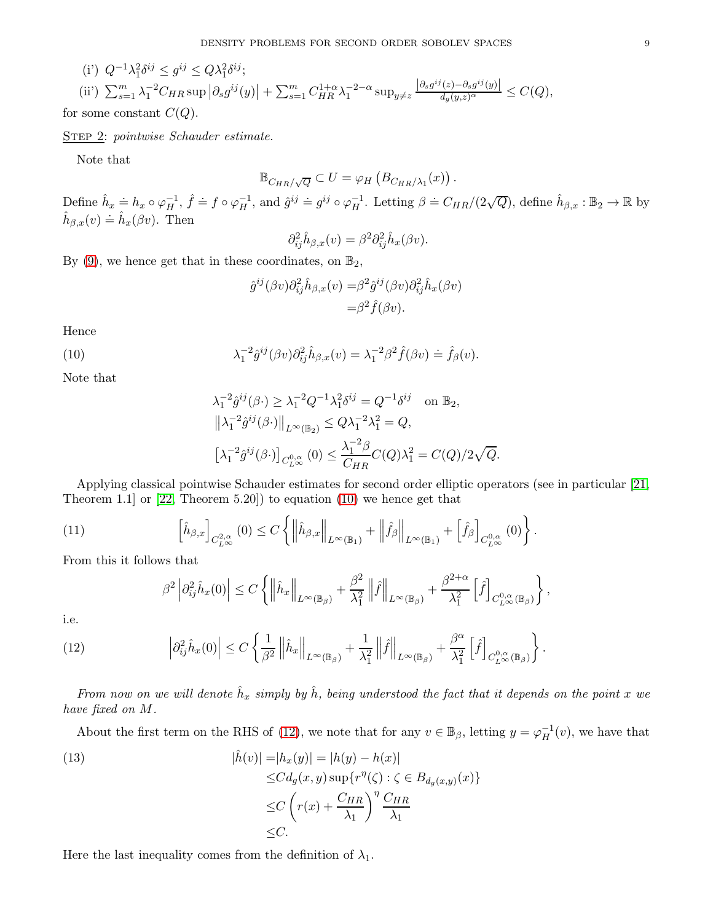$$
(i')\ Q^{-1}\lambda_1^2\delta^{ij} \le g^{ij} \le Q\lambda_1^2\delta^{ij};
$$
  
\n
$$
(ii')\ \sum_{s=1}^m \lambda_1^{-2}C_{HR}\sup\left|\partial_s g^{ij}(y)\right| + \sum_{s=1}^m C_{HR}^{1+\alpha}\lambda_1^{-2-\alpha}\sup_{y\ne z} \frac{\left|\partial_s g^{ij}(z) - \partial_s g^{ij}(y)\right|}{d_g(y,z)^\alpha} \le C(Q),
$$

for some constant  $C(Q)$ .

STEP 2: pointwise Schauder estimate.

Note that

$$
\mathbb{B}_{C_{HR}/\sqrt{Q}} \subset U = \varphi_H \left( B_{C_{HR}/\lambda_1}(x) \right).
$$

Define  $\hat{h}_x \doteq h_x \circ \varphi_H^{-1}$ ,  $\hat{f} \doteq f \circ \varphi_H^{-1}$ , and  $\hat{g}^{ij} \doteq g^{ij} \circ \varphi_H^{-1}$ . Letting  $\beta \doteq C_{HR}/(2\sqrt{Q})$ , define  $\hat{h}_{\beta,x} : \mathbb{B}_2 \to \mathbb{R}$  by  $\hat{h}_{\beta,x}(v) \doteq \hat{h}_x(\beta v)$ . Then

$$
\partial_{ij}^2 \hat{h}_{\beta,x}(v) = \beta^2 \partial_{ij}^2 \hat{h}_x(\beta v).
$$

By [\(9\)](#page-7-2), we hence get that in these coordinates, on  $\mathbb{B}_2$ ,

$$
\hat{g}^{ij}(\beta v)\partial_{ij}^{2}\hat{h}_{\beta,x}(v) = \beta^{2}\hat{g}^{ij}(\beta v)\partial_{ij}^{2}\hat{h}_{x}(\beta v) = \beta^{2}\hat{f}(\beta v).
$$

Hence

(10) 
$$
\lambda_1^{-2} \hat{g}^{ij}(\beta v) \partial_{ij}^2 \hat{h}_{\beta,x}(v) = \lambda_1^{-2} \beta^2 \hat{f}(\beta v) \doteq \hat{f}_{\beta}(v).
$$

Note that

<span id="page-8-0"></span>
$$
\lambda_1^{-2} \hat{g}^{ij}(\beta \cdot) \ge \lambda_1^{-2} Q^{-1} \lambda_1^2 \delta^{ij} = Q^{-1} \delta^{ij} \quad \text{on } \mathbb{B}_2,
$$
  

$$
\|\lambda_1^{-2} \hat{g}^{ij}(\beta \cdot)\|_{L^{\infty}(\mathbb{B}_2)} \le Q \lambda_1^{-2} \lambda_1^2 = Q,
$$
  

$$
[\lambda_1^{-2} \hat{g}^{ij}(\beta \cdot)]_{C_{L^{\infty}}^{0,\alpha}}(0) \le \frac{\lambda_1^{-2} \beta}{C_{HR}} C(Q) \lambda_1^2 = C(Q)/2\sqrt{Q}.
$$

Applying classical pointwise Schauder estimates for second order elliptic operators (see in particular [\[21,](#page-23-21) Theorem 1.1] or [\[22,](#page-23-22) Theorem 5.20]) to equation [\(10\)](#page-8-0) we hence get that

(11) 
$$
\left[\hat{h}_{\beta,x}\right]_{C^{2,\alpha}_{L^{\infty}}}(0) \leq C \left\{ \left\|\hat{h}_{\beta,x}\right\|_{L^{\infty}(\mathbb{B}_1)} + \left\|\hat{f}_{\beta}\right\|_{L^{\infty}(\mathbb{B}_1)} + \left[\hat{f}_{\beta}\right]_{C^{0,\alpha}_{L^{\infty}}}(0)\right\}.
$$

From this it follows that

<span id="page-8-1"></span>
$$
\beta^2 \left| \partial_{ij}^2 \hat{h}_x(0) \right| \le C \left\{ \left\| \hat{h}_x \right\|_{L^\infty(\mathbb{B}_\beta)} + \frac{\beta^2}{\lambda_1^2} \left\| \hat{f} \right\|_{L^\infty(\mathbb{B}_\beta)} + \frac{\beta^{2+\alpha}}{\lambda_1^2} \left[ \hat{f} \right]_{C_{L^\infty}^{0,\alpha}(\mathbb{B}_\beta)} \right\},
$$

i.e.

(12) 
$$
\left|\partial_{ij}^2 \hat{h}_x(0)\right| \leq C \left\{\frac{1}{\beta^2} \left\|\hat{h}_x\right\|_{L^\infty(\mathbb{B}_\beta)} + \frac{1}{\lambda_1^2} \left\|\hat{f}\right\|_{L^\infty(\mathbb{B}_\beta)} + \frac{\beta^\alpha}{\lambda_1^2} \left[\hat{f}\right]_{C_{L^\infty}^{0,\alpha}(\mathbb{B}_\beta)}\right\}.
$$

From now on we will denote  $\hat{h}_x$  simply by  $\hat{h}$ , being understood the fact that it depends on the point x we have fixed on M.

About the first term on the RHS of [\(12\)](#page-8-1), we note that for any  $v \in \mathbb{B}_{\beta}$ , letting  $y = \varphi_H^{-1}(v)$ , we have that

<span id="page-8-2"></span>(13)  
\n
$$
|\hat{h}(v)| = |h_x(y)| = |h(y) - h(x)|
$$
\n
$$
\leq C d_g(x, y) \sup\{r^{\eta}(\zeta) : \zeta \in B_{d_g(x, y)}(x)\}
$$
\n
$$
\leq C \left(r(x) + \frac{C_{HR}}{\lambda_1}\right)^{\eta} \frac{C_{HR}}{\lambda_1}
$$
\n
$$
\leq C.
$$

Here the last inequality comes from the definition of  $\lambda_1$ .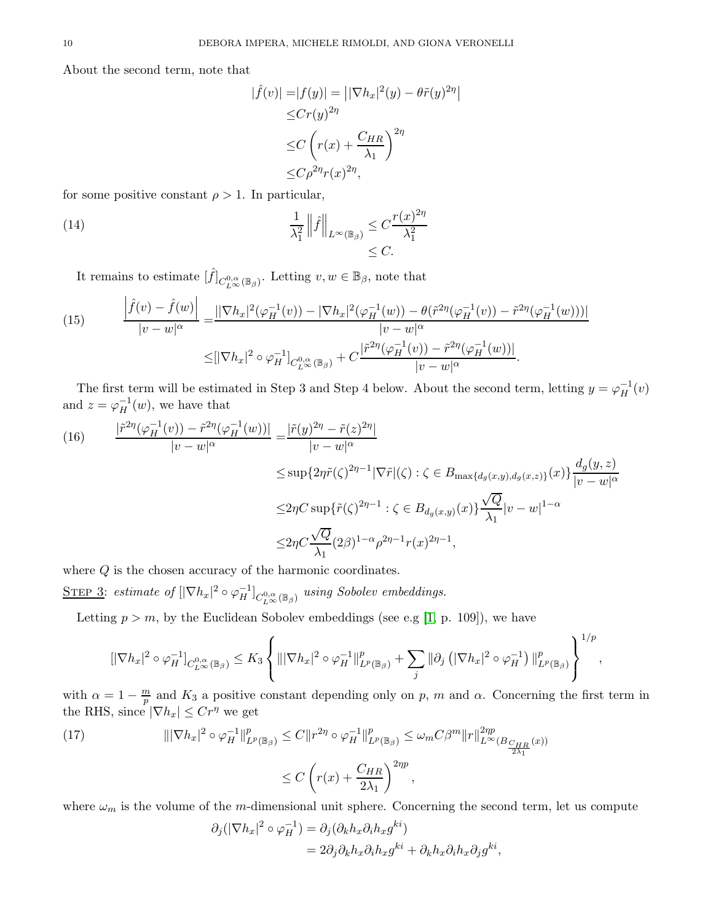About the second term, note that

$$
|\hat{f}(v)| = |f(y)| = ||\nabla h_x|^2(y) - \theta \tilde{r}(y)^{2\eta}
$$
  
\n
$$
\leq Cr(y)^{2\eta}
$$
  
\n
$$
\leq C \left( r(x) + \frac{C_{HR}}{\lambda_1} \right)^{2\eta}
$$
  
\n
$$
\leq C \rho^{2\eta} r(x)^{2\eta},
$$

 $\overline{\phantom{a}}$  $\overline{\phantom{a}}$ 

for some positive constant  $\rho > 1$ . In particular,

<span id="page-9-3"></span>(14) 
$$
\frac{1}{\lambda_1^2} \left\| \hat{f} \right\|_{L^\infty(\mathbb{B}_\beta)} \leq C \frac{r(x)^{2\eta}}{\lambda_1^2} \leq C.
$$

It remains to estimate  $[\hat{f}]_{C^{0,\alpha}_{L^{\infty}}(\mathbb{B}_{\beta})}$ . Letting  $v, w \in \mathbb{B}_{\beta}$ , note that

<span id="page-9-2"></span>(15) 
$$
\frac{\left| \hat{f}(v) - \hat{f}(w) \right|}{|v - w|^{\alpha}} = \frac{\left| |\nabla h_x|^2 (\varphi_H^{-1}(v)) - |\nabla h_x|^2 (\varphi_H^{-1}(w)) - \theta(\tilde{r}^{2\eta}(\varphi_H^{-1}(v)) - \tilde{r}^{2\eta}(\varphi_H^{-1}(w))) \right|}{|v - w|^{\alpha}} \\ \leq \left[ |\nabla h_x|^2 \circ \varphi_H^{-1} \right]_{C_{L^{\infty}}^{0,\alpha}(\mathbb{B}_{\beta})} + C \frac{\left| \tilde{r}^{2\eta} (\varphi_H^{-1}(v)) - \tilde{r}^{2\eta}(\varphi_H^{-1}(w)) \right|}{|v - w|^{\alpha}}.
$$

The first term will be estimated in Step 3 and Step 4 below. About the second term, letting  $y = \varphi_H^{-1}(v)$ and  $z = \varphi_H^{-1}(w)$ , we have that

<span id="page-9-1"></span>(16) 
$$
\frac{|\tilde{r}^{2\eta}(\varphi_H^{-1}(v)) - \tilde{r}^{2\eta}(\varphi_H^{-1}(w))|}{|v - w|^{\alpha}} = \frac{|\tilde{r}(y)^{2\eta} - \tilde{r}(z)^{2\eta}|}{|v - w|^{\alpha}}
$$

$$
\leq \sup\{2\eta \tilde{r}(\zeta)^{2\eta - 1}|\nabla \tilde{r}|(\zeta) : \zeta \in B_{\max\{d_g(x, y), d_g(x, z)\}}(x)\}\frac{d_g(y, z)}{|v - w|^{\alpha}}
$$

$$
\leq 2\eta C \sup\{\tilde{r}(\zeta)^{2\eta - 1} : \zeta \in B_{d_g(x, y)}(x)\}\frac{\sqrt{Q}}{\lambda_1}|v - w|^{1 - \alpha}
$$

$$
\leq 2\eta C \frac{\sqrt{Q}}{\lambda_1}(2\beta)^{1 - \alpha} \rho^{2\eta - 1} r(x)^{2\eta - 1},
$$

where  $Q$  is the chosen accuracy of the harmonic coordinates.

STEP 3: estimate of  $[|\nabla h_x|^2 \circ \varphi_H^{-1}]_{C^{0,\alpha}_{L^{\infty}}(\mathbb{B}_\beta)}$  using Sobolev embeddings.

Letting  $p > m$ , by the Euclidean Sobolev embeddings (see e.g [\[1,](#page-23-23) p. 109]), we have

$$
[|\nabla h_x|^2 \circ \varphi_H^{-1}]_{C^{0,\alpha}_{L^{\infty}}(\mathbb{B}_{\beta})} \leq K_3 \left\{ |||\nabla h_x|^2 \circ \varphi_H^{-1}||^p_{L^p(\mathbb{B}_{\beta})} + \sum_j ||\partial_j \left(|\nabla h_x|^2 \circ \varphi_H^{-1}\right)||^p_{L^p(\mathbb{B}_{\beta})}\right\}^{1/p},
$$

with  $\alpha = 1 - \frac{m}{p}$  $\frac{m}{p}$  and  $K_3$  a positive constant depending only on p, m and  $\alpha$ . Concerning the first term in the RHS, since  $|\nabla h_x| \leq C r^{\eta}$  we get

<span id="page-9-0"></span>(17) 
$$
\| |\nabla h_x|^2 \circ \varphi_H^{-1} \|_{L^p(\mathbb{B}_{\beta})}^p \le C \| r^{2\eta} \circ \varphi_H^{-1} \|_{L^p(\mathbb{B}_{\beta})}^p \le \omega_m C \beta^m \| r \|_{L^{\infty}(B_{\frac{C_{HR}}{2\lambda_1}}(x))}^{2\eta p}
$$

$$
\le C \left( r(x) + \frac{C_{HR}}{2\lambda_1} \right)^{2\eta p},
$$

where  $\omega_m$  is the volume of the m-dimensional unit sphere. Concerning the second term, let us compute

$$
\partial_j(|\nabla h_x|^2 \circ \varphi_H^{-1}) = \partial_j(\partial_k h_x \partial_i h_x g^{ki})
$$
  
=  $2\partial_j \partial_k h_x \partial_i h_x g^{ki} + \partial_k h_x \partial_i h_x \partial_j g^{ki},$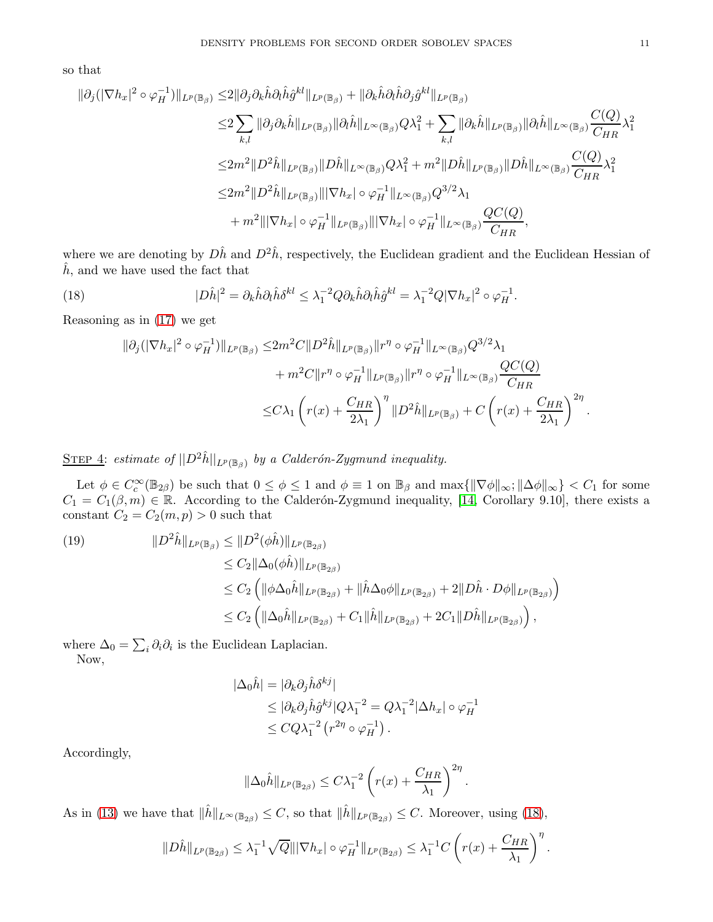so that

$$
\|\partial_j(|\nabla h_x|^2 \circ \varphi_H^{-1})\|_{L^p(\mathbb{B}_\beta)} \leq 2\|\partial_j \partial_k \hat{h} \partial_l \hat{h} \hat{g}^{kl}\|_{L^p(\mathbb{B}_\beta)} + \|\partial_k \hat{h} \partial_l \hat{h} \partial_j \hat{g}^{kl}\|_{L^p(\mathbb{B}_\beta)}
$$
  
\n
$$
\leq 2 \sum_{k,l} \|\partial_j \partial_k \hat{h}\|_{L^p(\mathbb{B}_\beta)} \|\partial_l \hat{h}\|_{L^\infty(\mathbb{B}_\beta)} Q \lambda_1^2 + \sum_{k,l} \|\partial_k \hat{h}\|_{L^p(\mathbb{B}_\beta)} \|\partial_l \hat{h}\|_{L^\infty(\mathbb{B}_\beta)} \frac{C(Q)}{C_{HR}} \lambda_1^2
$$
  
\n
$$
\leq 2m^2 \|D^2 \hat{h}\|_{L^p(\mathbb{B}_\beta)} \|D\hat{h}\|_{L^\infty(\mathbb{B}_\beta)} Q \lambda_1^2 + m^2 \|D\hat{h}\|_{L^p(\mathbb{B}_\beta)} \|\partial_l \hat{h}\|_{L^\infty(\mathbb{B}_\beta)} \frac{C(Q)}{C_{HR}} \lambda_1^2
$$
  
\n
$$
\leq 2m^2 \|D^2 \hat{h}\|_{L^p(\mathbb{B}_\beta)} \|\|\nabla h_x| \circ \varphi_H^{-1}\|_{L^\infty(\mathbb{B}_\beta)} Q^{3/2} \lambda_1
$$
  
\n
$$
+ m^2 \|\|\nabla h_x| \circ \varphi_H^{-1}\|_{L^p(\mathbb{B}_\beta)} \|\|\nabla h_x| \circ \varphi_H^{-1}\|_{L^\infty(\mathbb{B}_\beta)} \frac{QC(Q)}{C_{HR}},
$$

where we are denoting by  $D\hat{h}$  and  $D^2\hat{h}$ , respectively, the Euclidean gradient and the Euclidean Hessian of  $\hat{h}$ , and we have used the fact that

(18) 
$$
|D\hat{h}|^2 = \partial_k \hat{h} \partial_l \hat{h} \delta^{kl} \leq \lambda_1^{-2} Q \partial_k \hat{h} \partial_l \hat{h} \hat{g}^{kl} = \lambda_1^{-2} Q |\nabla h_x|^2 \circ \varphi_H^{-1}.
$$

Reasoning as in [\(17\)](#page-9-0) we get

<span id="page-10-0"></span>
$$
\begin{split} \|\partial_j(|\nabla h_x|^2 \circ \varphi_H^{-1})\|_{L^p(\mathbb{B}_\beta)} &\leq & 2m^2C\|D^2\hat{h}\|_{L^p(\mathbb{B}_\beta)}\|r^\eta \circ \varphi_H^{-1}\|_{L^\infty(\mathbb{B}_\beta)}Q^{3/2}\lambda_1 \\ &+ m^2C\|r^\eta \circ \varphi_H^{-1}\|_{L^p(\mathbb{B}_\beta)}\|r^\eta \circ \varphi_H^{-1}\|_{L^\infty(\mathbb{B}_\beta)}\frac{QC(Q)}{C_{HR}} \\ &\leq & C\lambda_1\left(r(x) + \frac{C_{HR}}{2\lambda_1}\right)^\eta \|D^2\hat{h}\|_{L^p(\mathbb{B}_\beta)} + C\left(r(x) + \frac{C_{HR}}{2\lambda_1}\right)^{2\eta} . \end{split}
$$

STEP 4: estimate of  $||D^2\hat{h}||_{L^p(\mathbb{B}_{\beta})}$  by a Calderón-Zygmund inequality.

Let  $\phi \in C_c^{\infty}(\mathbb{B}_{2\beta})$  be such that  $0 \leq \phi \leq 1$  and  $\phi \equiv 1$  on  $\mathbb{B}_{\beta}$  and  $\max\{\|\nabla\phi\|_{\infty}; \|\Delta\phi\|_{\infty}\}\lt C_1$  for some  $C_1 = C_1(\beta, m) \in \mathbb{R}$ . According to the Calderón-Zygmund inequality, [\[14,](#page-23-24) Corollary 9.10], there exists a constant  $C_2 = C_2(m, p) > 0$  such that

<span id="page-10-1"></span>(19) 
$$
\|D^2 \hat{h}\|_{L^p(\mathbb{B}_{\beta})} \le \|D^2(\phi \hat{h})\|_{L^p(\mathbb{B}_{2\beta})} \n\le C_2 \|\Delta_0(\phi \hat{h})\|_{L^p(\mathbb{B}_{2\beta})} \n\le C_2 \left( \|\phi \Delta_0 \hat{h}\|_{L^p(\mathbb{B}_{2\beta})} + \|\hat{h}\Delta_0 \phi\|_{L^p(\mathbb{B}_{2\beta})} + 2\|D\hat{h} \cdot D\phi\|_{L^p(\mathbb{B}_{2\beta})} \right) \n\le C_2 \left( \|\Delta_0 \hat{h}\|_{L^p(\mathbb{B}_{2\beta})} + C_1 \|\hat{h}\|_{L^p(\mathbb{B}_{2\beta})} + 2C_1 \|D\hat{h}\|_{L^p(\mathbb{B}_{2\beta})} \right),
$$

where  $\Delta_0 = \sum_i \partial_i \partial_i$  is the Euclidean Laplacian. Now,

$$
|\Delta_0 \hat{h}| = |\partial_k \partial_j \hat{h} \delta^{kj}|
$$
  
\n
$$
\leq |\partial_k \partial_j \hat{h} \hat{g}^{kj}| Q \lambda_1^{-2} = Q \lambda_1^{-2} |\Delta h_x| \circ \varphi_H^{-1}
$$
  
\n
$$
\leq C Q \lambda_1^{-2} (r^{2\eta} \circ \varphi_H^{-1}).
$$

Accordingly,

$$
\|\Delta_0 \hat{h}\|_{L^p(\mathbb{B}_{2\beta})} \le C\lambda_1^{-2} \left(r(x) + \frac{C_{HR}}{\lambda_1}\right)^{2\eta}.
$$

As in [\(13\)](#page-8-2) we have that  $\|\hat{h}\|_{L^{\infty}(\mathbb{B}_{2\beta})} \leq C$ , so that  $\|\hat{h}\|_{L^{p}(\mathbb{B}_{2\beta})} \leq C$ . Moreover, using [\(18\)](#page-10-0),

$$
||D\hat{h}||_{L^{p}(\mathbb{B}_{2\beta})} \leq \lambda_1^{-1} \sqrt{Q} |||\nabla h_x| \circ \varphi_H^{-1}||_{L^{p}(\mathbb{B}_{2\beta})} \leq \lambda_1^{-1} C \left(r(x) + \frac{C_{HR}}{\lambda_1}\right)^{\eta}.
$$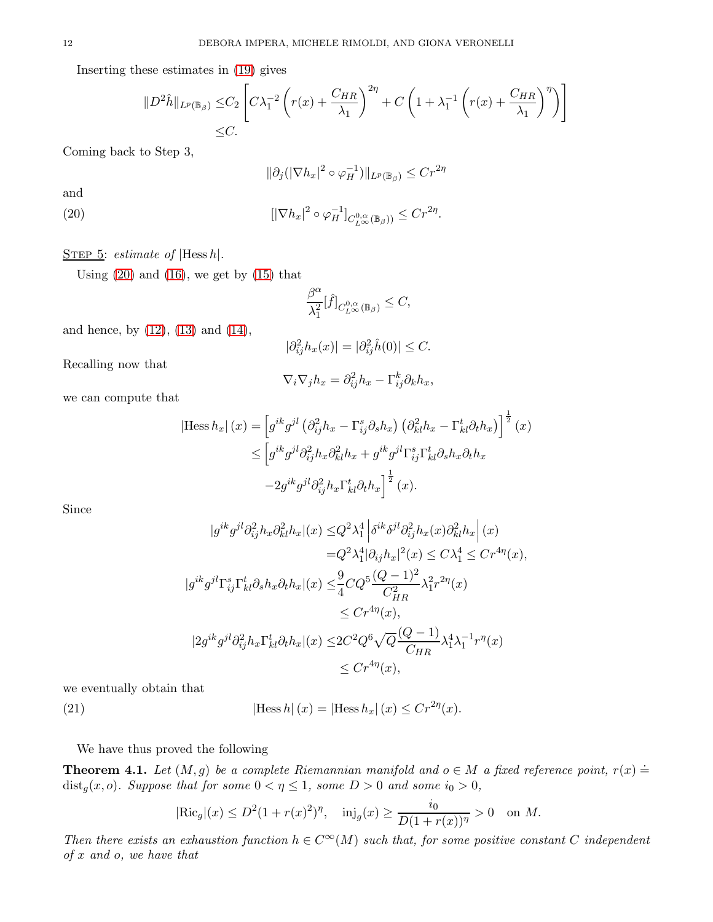Inserting these estimates in [\(19\)](#page-10-1) gives

$$
||D^2\hat{h}||_{L^p(\mathbb{B}_{\beta})} \leq C_2 \left[ C\lambda_1^{-2} \left( r(x) + \frac{C_{HR}}{\lambda_1} \right)^{2\eta} + C \left( 1 + \lambda_1^{-1} \left( r(x) + \frac{C_{HR}}{\lambda_1} \right)^{\eta} \right) \right]
$$
  
  $\leq C.$ 

Coming back to Step 3,

<span id="page-11-0"></span>
$$
\|\partial_j(|\nabla h_x|^2 \circ \varphi_H^{-1})\|_{L^p(\mathbb{B}_{\beta})} \le Cr^{2\eta}
$$

and

(20) 
$$
[|\nabla h_x|^2 \circ \varphi_H^{-1}]_{C^{0,\alpha}_{L^{\infty}}(\mathbb{B}_{\beta}))} \leq Cr^{2\eta}.
$$

STEP 5: estimate of  $|Hess h|$ .

Using  $(20)$  and  $(16)$ , we get by  $(15)$  that

$$
\frac{\beta^\alpha}{\lambda_1^2}[\widehat f]_{C^{0,\alpha}_{L^\infty}(\mathbb{B}_\beta)}\leq C,
$$

and hence, by [\(12\)](#page-8-1), [\(13\)](#page-8-2) and [\(14\)](#page-9-3),

$$
|\partial_{ij}^2 h_x(x)| = |\partial_{ij}^2 \hat{h}(0)| \leq C.
$$

Recalling now that

$$
\nabla_i \nabla_j h_x = \partial_{ij}^2 h_x - \Gamma_{ij}^k \partial_k h_x,
$$

we can compute that

$$
|\text{Hess }h_x| (x) = \left[ g^{ik} g^{jl} \left( \partial_{ij}^2 h_x - \Gamma_{ij}^s \partial_s h_x \right) \left( \partial_{kl}^2 h_x - \Gamma_{kl}^t \partial_t h_x \right) \right]^{\frac{1}{2}} (x)
$$
  

$$
\leq \left[ g^{ik} g^{jl} \partial_{ij}^2 h_x \partial_{kl}^2 h_x + g^{ik} g^{jl} \Gamma_{ij}^s \Gamma_{kl}^t \partial_s h_x \partial_t h_x \right]
$$

$$
-2g^{ik} g^{jl} \partial_{ij}^2 h_x \Gamma_{kl}^t \partial_t h_x \Big]^{\frac{1}{2}} (x).
$$

Since

$$
|g^{ik}g^{jl}\partial_{ij}^2h_x\partial_{kl}^2h_x|(x) \leq Q^2\lambda_1^4 \left|\delta^{ik}\delta^{jl}\partial_{ij}^2h_x(x)\partial_{kl}^2h_x\right|(x) = Q^2\lambda_1^4|\partial_{ij}h_x|^2(x) \leq C\lambda_1^4 \leq Cr^{4\eta}(x), |g^{ik}g^{jl}\Gamma_{ij}^s\Gamma_{kl}^t\partial_sh_x\partial_th_x|(x) \leq \frac{9}{4}CQ^5\frac{(Q-1)^2}{C_{HR}^2}\lambda_1^2r^{2\eta}(x) \leq Cr^{4\eta}(x), |2g^{ik}g^{jl}\partial_{ij}^2h_x\Gamma_{kl}^t\partial_th_x|(x) \leq 2C^2Q^6\sqrt{Q}\frac{(Q-1)}{C_{HR}}\lambda_1^4\lambda_1^{-1}r^{\eta}(x) \leq Cr^{4\eta}(x),
$$

we eventually obtain that

(21) 
$$
|\text{Hess } h|(x) = |\text{Hess } h_x|(x) \le Cr^{2\eta}(x).
$$

We have thus proved the following

<span id="page-11-1"></span>**Theorem 4.1.** Let  $(M, g)$  be a complete Riemannian manifold and  $o \in M$  a fixed reference point,  $r(x) =$ dist<sub>g</sub> $(x, o)$ . Suppose that for some  $0 < \eta \le 1$ , some  $D > 0$  and some  $i_0 > 0$ ,

$$
|\text{Ric}_g|(x) \le D^2 (1+r(x)^2)^{\eta}, \quad \text{inj}_g(x) \ge \frac{i_0}{D(1+r(x))^{\eta}} > 0 \quad \text{on } M.
$$

Then there exists an exhaustion function  $h \in C^{\infty}(M)$  such that, for some positive constant C independent of x and o, we have that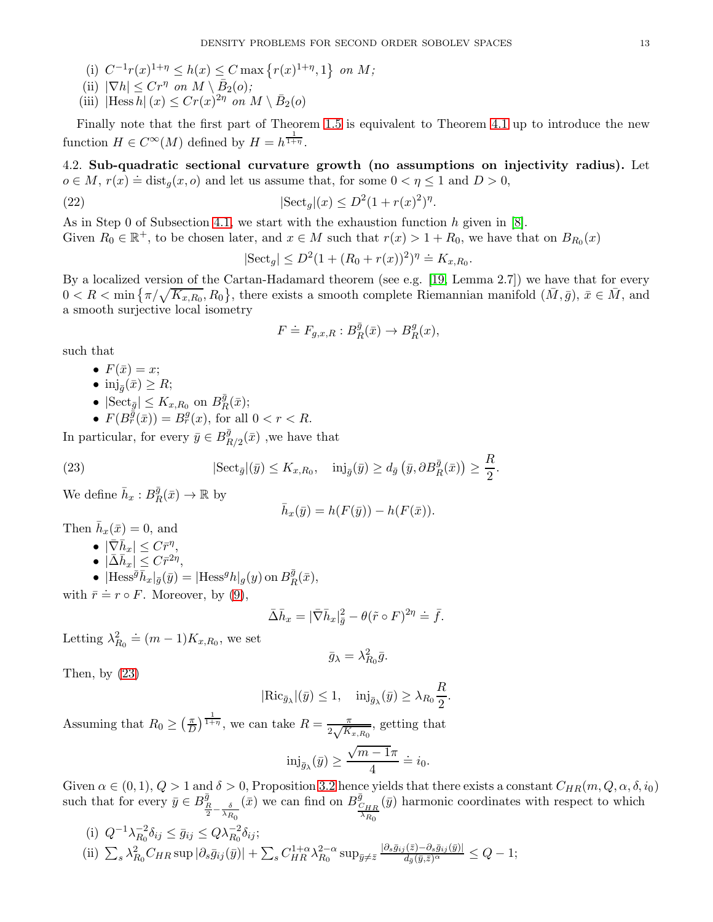(i)  $C^{-1}r(x)^{1+\eta} \leq h(x) \leq C \max\{r(x)^{1+\eta}, 1\}$  on M;

(ii) 
$$
|\nabla h| \leq Cr^{\eta}
$$
 on  $M \setminus \bar{B}_2(o)$ ;

(iii)  $\left| \text{Hess } h \right| (x) \leq Cr(x)^{2\eta}$  on  $M \setminus \overline{B}_2(o)$ 

Finally note that the first part of Theorem [1.5](#page-1-1) is equivalent to Theorem [4.1](#page-11-1) up to introduce the new function  $H \in C^{\infty}(M)$  defined by  $H = h^{\frac{1}{1+\eta}}$ .

<span id="page-12-0"></span>4.2. Sub-quadratic sectional curvature growth (no assumptions on injectivity radius). Let  $o \in M$ ,  $r(x) \doteq \text{dist}_g(x, o)$  and let us assume that, for some  $0 < \eta \le 1$  and  $D > 0$ ,

(22) 
$$
|\text{Sect}_{g}|(x) \le D^2(1+r(x)^2)^{\eta}.
$$

As in Step 0 of Subsection [4.1,](#page-7-1) we start with the exhaustion function h given in  $[8]$ . Given  $R_0 \in \mathbb{R}^+$ , to be chosen later, and  $x \in M$  such that  $r(x) > 1 + R_0$ , we have that on  $B_{R_0}(x)$ 

$$
|\text{Sect}_g| \le D^2 (1 + (R_0 + r(x))^2)^{\eta} \doteq K_{x,R_0}.
$$

By a localized version of the Cartan-Hadamard theorem (see e.g. [\[19,](#page-23-25) Lemma 2.7]) we have that for every  $0 < R < \min\left\{\pi/\sqrt{K_{x,R_0}}, R_0\right\}$ , there exists a smooth complete Riemannian manifold  $(\bar{M}, \bar{g})$ ,  $\bar{x} \in \bar{M}$ , and a smooth surjective local isometry

$$
F \doteq F_{g,x,R} : B_R^{\bar g}(\bar x) \to B_R^g(x),
$$

such that

- $F(\bar{x}) = x$ ;
- $\text{inj}_{\bar{g}}(\bar{x}) \geq R;$
- $|\text{Sect}_{\overline{g}}| \leq K_{x,R_0}$  on  $B_R^{\overline{g}}$  ${}^g_R(\bar{x});$
- $F(B_{r}^{\bar{g}}(\bar{x})) = B_{r}^{g}(x)$ , for all  $0 < r < R$ .

In particular, for every  $\bar{y} \in B_R^{\bar{g}}$  $R_{R/2}^{g}(\bar{x})$ , we have that

(23) 
$$
|\text{Sect}_{\bar{g}}|(\bar{y}) \le K_{x,R_0}, \quad \text{inj}_{\bar{g}}(\bar{y}) \ge d_{\bar{g}}(\bar{y}, \partial B_R^{\bar{g}}(\bar{x})) \ge \frac{R}{2}.
$$

We define  $\bar{h}_x : B_R^{\bar{g}}$  $\frac{\bar{g}}{R}(\bar{x}) \to \mathbb{R}$  by

<span id="page-12-1"></span>
$$
\bar{h}_x(\bar{y}) = h(F(\bar{y})) - h(F(\bar{x})).
$$

Then  $\bar{h}_x(\bar{x}) = 0$ , and

- $\bullet$   $|\bar{\nabla}\bar{h}_x| \leq C\bar{r}^{\eta},$
- $\bullet$   $\left| \bar{\Delta h}_{x} \right| \leq C \bar{r}^{2\eta},$
- $|{\rm Hess}^{\bar g}\bar h_x|_{\bar g}(\bar y)=|{\rm Hess}^g h|_g(y)\,\text{on}\,B_R^{\bar g}$  ${}_{R}^{g}(\bar{x}),$

with  $\bar{r} = r \circ F$ . Moreover, by [\(9\)](#page-7-2),

$$
\bar{\Delta}\bar{h}_x = |\bar{\nabla}\bar{h}_x|_{\bar{g}}^2 - \theta(\tilde{r} \circ F)^{2\eta} \doteq \bar{f}.
$$

Letting  $\lambda_{R_0}^2 \doteq (m-1)K_{x,R_0}$ , we set

$$
\bar{g}_{\lambda} = \lambda_{R_0}^2 \bar{g}.
$$

Then, by [\(23\)](#page-12-1)

$$
|\text{Ric}_{\bar{g}_{\lambda}}|(\bar{y}) \le 1
$$
,  $\text{inj}_{\bar{g}_{\lambda}}(\bar{y}) \ge \lambda_{R_0} \frac{R}{2}$ .

Assuming that  $R_0 \geq \left(\frac{\pi}{L}\right)$  $\frac{\pi}{D}$ )  $\frac{1}{1+\eta}$ , we can take  $R = \frac{\pi}{2\sqrt{K}}$  $\frac{\pi}{2\sqrt{K_{x,R_0}}},$  getting that

$$
\operatorname{inj}_{\bar{g}_{\lambda}}(\bar{y}) \geq \frac{\sqrt{m-1}\pi}{4} \doteq i_0.
$$

Given  $\alpha \in (0,1), Q > 1$  and  $\delta > 0$ , Proposition [3.2](#page-6-0) hence yields that there exists a constant  $C_{HR}(m, Q, \alpha, \delta, i_0)$ such that for every  $\bar{y} \in B_{\frac{R}{2} - \frac{\delta}{\lambda_{R_0}}}^{\bar{g}}$  $(\bar{x})$  we can find on  $B_{c}^{\bar{g}}$  $\frac{C_{HR}}{\lambda_{R_0}}$  $(\bar{y})$  harmonic coordinates with respect to which

(i) 
$$
Q^{-1} \lambda_{R_0}^{-2} \delta_{ij} \le \bar{g}_{ij} \le Q \lambda_{R_0}^{-2} \delta_{ij};
$$
  
\n(ii)  $\sum_s \lambda_{R_0}^2 C_{HR} \sup |\partial_s \bar{g}_{ij}(\bar{y})| + \sum_s C_{HR}^{1+\alpha} \lambda_{R_0}^{2-\alpha} \sup_{\bar{y}\neq \bar{z}} \frac{|\partial_s \bar{g}_{ij}(\bar{z}) - \partial_s \bar{g}_{ij}(\bar{y})|}{d_{\bar{g}}(\bar{y},\bar{z})^{\alpha}} \le Q - 1;$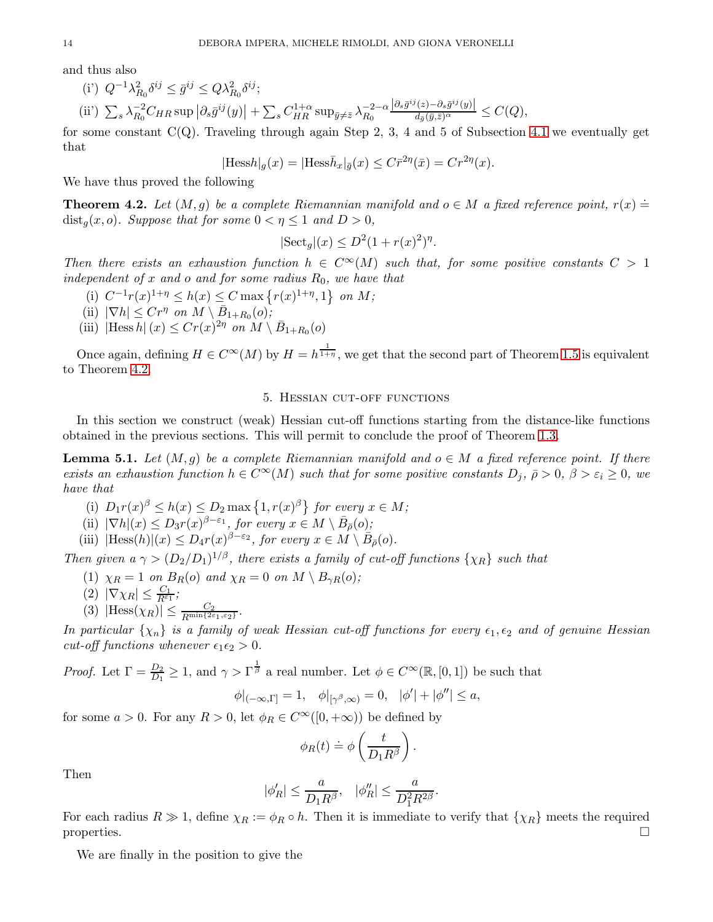and thus also

(i')  $Q^{-1} \lambda_{R_0}^2 \delta^{ij} \leq \bar{g}^{ij} \leq Q \lambda_{R_0}^2 \delta^{ij};$ (ii')  $\sum_s \lambda_{R_0}^{-2} C_{HR} \sup \left| \partial_s \bar{g}^{ij}(y) \right| + \sum_s C_{HR}^{1+\alpha} \sup_{\bar{y} \neq \bar{z}} \lambda_{R_0}^{-2-\alpha} \frac{\left| \partial_s \bar{g}^{ij}(z) - \partial_s \bar{g}^{ij}(y) \right|}{d_{\bar{g}}(\bar{y},\bar{z})^{\alpha}} \leq C(Q),$ 

for some constant  $C(Q)$ . Traveling through again Step 2, 3, 4 and 5 of Subsection [4.1](#page-7-1) we eventually get that

$$
|\text{Hess}h|_g(x) = |\text{Hess}\bar{h}_x|_{\bar{g}}(x) \le C\bar{r}^{2\eta}(\bar{x}) = Cr^{2\eta}(x).
$$

We have thus proved the following

<span id="page-13-1"></span>**Theorem 4.2.** Let  $(M, g)$  be a complete Riemannian manifold and  $o \in M$  a fixed reference point,  $r(x) =$  $dist_a(x, o)$ . Suppose that for some  $0 < \eta \leq 1$  and  $D > 0$ ,

$$
|\text{Sect}_g|(x) \le D^2(1+r(x)^2)^{\eta}.
$$

Then there exists an exhaustion function  $h \in C^{\infty}(M)$  such that, for some positive constants  $C > 1$ independent of  $x$  and  $o$  and for some radius  $R_0$ , we have that

- (i)  $C^{-1}r(x)^{1+\eta} \leq h(x) \leq C \max\{r(x)^{1+\eta}, 1\}$  on M;
- (ii)  $|\nabla h| \leq Cr^{\eta}$  on  $M \setminus \overline{B}_{1+R_0}(o);$
- (iii)  $\left|\text{Hess }h\right|(x) \le Cr(x)^{2\eta}$  on  $M \setminus \overline{B}_{1+R_0}(o)$

<span id="page-13-0"></span>Once again, defining  $H \in C^{\infty}(M)$  by  $H = h^{\frac{1}{1+\eta}}$ , we get that the second part of Theorem [1.5](#page-1-1) is equivalent to Theorem [4.2.](#page-13-1)

### 5. Hessian cut-off functions

In this section we construct (weak) Hessian cut-off functions starting from the distance-like functions obtained in the previous sections. This will permit to conclude the proof of Theorem [1.3.](#page-1-2)

<span id="page-13-2"></span>**Lemma 5.1.** Let  $(M, g)$  be a complete Riemannian manifold and  $o \in M$  a fixed reference point. If there exists an exhaustion function  $h \in C^{\infty}(M)$  such that for some positive constants  $D_i$ ,  $\bar{\rho} > 0$ ,  $\beta > \varepsilon_i \geq 0$ , we have that

- (i)  $D_1 r(x)^{\beta} \leq h(x) \leq D_2 \max\left\{1, r(x)^{\beta}\right\}$  for every  $x \in M$ ;
- (ii)  $|\nabla h|(x) \leq D_3 r(x)^{\beta-\varepsilon_1}$ , for every  $x \in M \setminus \overline{B}_{\overline{\rho}}(o)$ .
- (iii)  $|\text{Hess}(h)|(x) \leq D_4 r(x)^{\beta-\varepsilon_2}$ , for every  $x \in M \setminus \overline{B}_{\overline{\rho}}(o)$ .

Then given  $a \gamma > (D_2/D_1)^{1/\beta}$ , there exists a family of cut-off functions  $\{\chi_R\}$  such that

- (1)  $\chi_R = 1$  on  $B_R(o)$  and  $\chi_R = 0$  on  $M \setminus B_{\gamma R}(o);$
- (2)  $|\nabla \chi_R| \leq \frac{C_1}{R^{\epsilon_1}};$
- (3)  $|\text{Hess}(\chi_R)| \leq \frac{C_2}{R^{\min\{2\varepsilon_1,\varepsilon_2\}}}.$

In particular  $\{\chi_n\}$  is a family of weak Hessian cut-off functions for every  $\epsilon_1, \epsilon_2$  and of genuine Hessian cut-off functions whenever  $\epsilon_1 \epsilon_2 > 0$ .

*Proof.* Let  $\Gamma = \frac{D_2}{D_1} \geq 1$ , and  $\gamma > \Gamma^{\frac{1}{\beta}}$  a real number. Let  $\phi \in C^{\infty}(\mathbb{R}, [0, 1])$  be such that

$$
\phi|_{(-\infty,\Gamma]} = 1, \quad \phi|_{[\gamma^{\beta},\infty)} = 0, \quad |\phi'| + |\phi''| \le a,
$$

for some  $a > 0$ . For any  $R > 0$ , let  $\phi_R \in C^{\infty}([0, +\infty))$  be defined by

$$
\phi_R(t) \doteq \phi\left(\frac{t}{D_1 R^{\beta}}\right).
$$

Then

$$
|\phi'_R|\leq \frac{a}{D_1R^\beta},\quad |\phi''_R|\leq \frac{a}{D_1^2R^{2\beta}}.
$$

For each radius  $R \gg 1$ , define  $\chi_R := \phi_R \circ h$ . Then it is immediate to verify that  $\{\chi_R\}$  meets the required properties. properties.  $\Box$ 

We are finally in the position to give the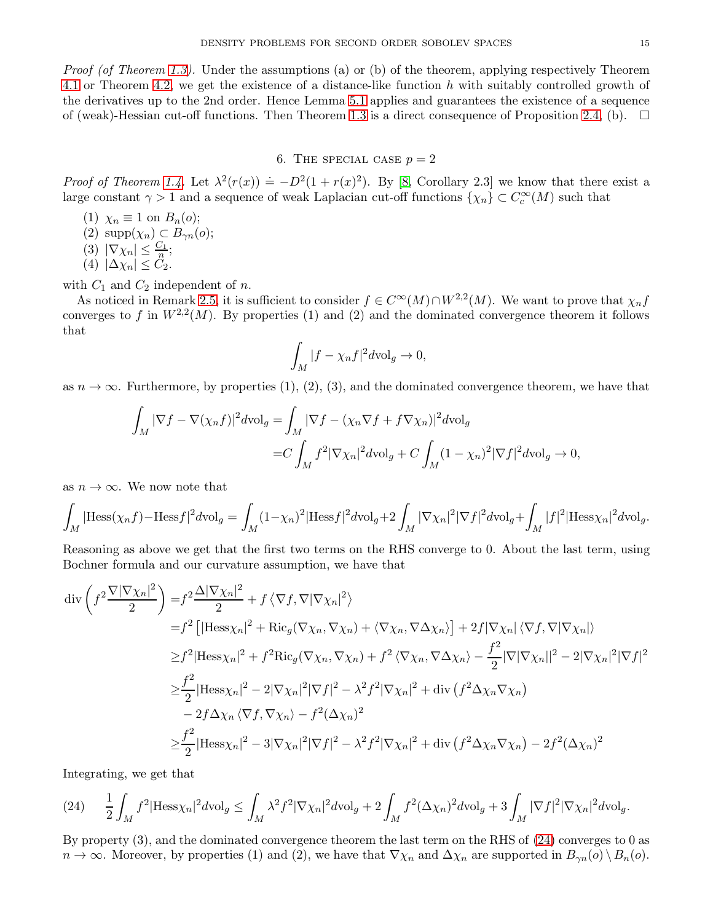*Proof (of Theorem [1.3\)](#page-1-2).* Under the assumptions (a) or (b) of the theorem, applying respectively Theorem [4.1](#page-11-1) or Theorem [4.2,](#page-13-1) we get the existence of a distance-like function  $h$  with suitably controlled growth of the derivatives up to the 2nd order. Hence Lemma [5.1](#page-13-2) applies and guarantees the existence of a sequence of (weak)-Hessian cut-off functions. Then Theorem [1.3](#page-1-2) is a direct consequence of Proposition [2.4,](#page-5-1) (b).  $\Box$ 

## 6. THE SPECIAL CASE  $p=2$

<span id="page-14-0"></span>*Proof of Theorem [1.4.](#page-1-3)* Let  $\lambda^2(r(x)) = -D^2(1 + r(x)^2)$ . By [\[8,](#page-23-11) Corollary 2.3] we know that there exist a large constant  $\gamma > 1$  and a sequence of weak Laplacian cut-off functions  $\{\chi_n\} \subset C_c^{\infty}(M)$  such that

- (1)  $\chi_n \equiv 1$  on  $B_n(o)$ ;
- (2)  $\text{supp}(\chi_n) \subset B_{\gamma n}(o);$
- (3)  $|\nabla \chi_n| \leq \frac{C_1}{n};$
- (4)  $|\Delta \chi_n| \leq C_2$ .

with  $C_1$  and  $C_2$  independent of n.

As noticed in Remark [2.5,](#page-5-6) it is sufficient to consider  $f \in C^{\infty}(M) \cap W^{2,2}(M)$ . We want to prove that  $\chi_n f$ converges to f in  $W^{2,2}(M)$ . By properties (1) and (2) and the dominated convergence theorem it follows that

$$
\int_M |f - \chi_n f|^2 d\mathrm{vol}_g \to 0,
$$

as  $n \to \infty$ . Furthermore, by properties (1), (2), (3), and the dominated convergence theorem, we have that

$$
\int_M |\nabla f - \nabla(\chi_n f)|^2 d\text{vol}_g = \int_M |\nabla f - (\chi_n \nabla f + f \nabla \chi_n)|^2 d\text{vol}_g
$$
  
= 
$$
C \int_M f^2 |\nabla \chi_n|^2 d\text{vol}_g + C \int_M (1 - \chi_n)^2 |\nabla f|^2 d\text{vol}_g \to 0,
$$

as  $n \to \infty$ . We now note that

$$
\int_M |\text{Hess}(\chi_n f) - \text{Hess} f|^2 d\text{vol}_g = \int_M (1 - \chi_n)^2 |\text{Hess} f|^2 d\text{vol}_g + 2 \int_M |\nabla \chi_n|^2 |\nabla f|^2 d\text{vol}_g + \int_M |f|^2 |\text{Hess}\chi_n|^2 d\text{vol}_g.
$$

Reasoning as above we get that the first two terms on the RHS converge to 0. About the last term, using Bochner formula and our curvature assumption, we have that

$$
\operatorname{div}\left(f^{2}\frac{\nabla|\nabla\chi_{n}|^{2}}{2}\right) = f^{2}\frac{\Delta|\nabla\chi_{n}|^{2}}{2} + f\left\langle\nabla f, \nabla|\nabla\chi_{n}|^{2}\right\rangle
$$
  
\n
$$
= f^{2}\left[|\text{Hess}\chi_{n}|^{2} + \text{Ric}_{g}(\nabla\chi_{n}, \nabla\chi_{n}) + \langle\nabla\chi_{n}, \nabla\Delta\chi_{n}\rangle\right] + 2f|\nabla\chi_{n}|\left\langle\nabla f, \nabla|\nabla\chi_{n}\right|\right\rangle
$$
  
\n
$$
\geq f^{2}|\text{Hess}\chi_{n}|^{2} + f^{2}\text{Ric}_{g}(\nabla\chi_{n}, \nabla\chi_{n}) + f^{2}\left\langle\nabla\chi_{n}, \nabla\Delta\chi_{n}\right\rangle - \frac{f^{2}}{2}|\nabla|\nabla\chi_{n}||^{2} - 2|\nabla\chi_{n}|^{2}|\nabla f|^{2}
$$
  
\n
$$
\geq \frac{f^{2}}{2}|\text{Hess}\chi_{n}|^{2} - 2|\nabla\chi_{n}|^{2}|\nabla f|^{2} - \lambda^{2}f^{2}|\nabla\chi_{n}|^{2} + \text{div}\left(f^{2}\Delta\chi_{n}\nabla\chi_{n}\right)
$$
  
\n
$$
- 2f\Delta\chi_{n}\left\langle\nabla f, \nabla\chi_{n}\right\rangle - f^{2}(\Delta\chi_{n})^{2}
$$
  
\n
$$
\geq \frac{f^{2}}{2}|\text{Hess}\chi_{n}|^{2} - 3|\nabla\chi_{n}|^{2}|\nabla f|^{2} - \lambda^{2}f^{2}|\nabla\chi_{n}|^{2} + \text{div}\left(f^{2}\Delta\chi_{n}\nabla\chi_{n}\right) - 2f^{2}(\Delta\chi_{n})^{2}
$$

Integrating, we get that

<span id="page-14-1"></span>
$$
(24) \qquad \frac{1}{2}\int_{M}f^{2}|\text{Hess}\chi_{n}|^{2}d\text{vol}_{g}\leq \int_{M}\lambda^{2}f^{2}|\nabla\chi_{n}|^{2}d\text{vol}_{g}+2\int_{M}f^{2}(\Delta\chi_{n})^{2}d\text{vol}_{g}+3\int_{M}|\nabla f|^{2}|\nabla\chi_{n}|^{2}d\text{vol}_{g}.
$$

By property (3), and the dominated convergence theorem the last term on the RHS of [\(24\)](#page-14-1) converges to 0 as  $n \to \infty$ . Moreover, by properties (1) and (2), we have that  $\nabla \chi_n$  and  $\Delta \chi_n$  are supported in  $B_{\gamma n}(o) \setminus B_n(o)$ .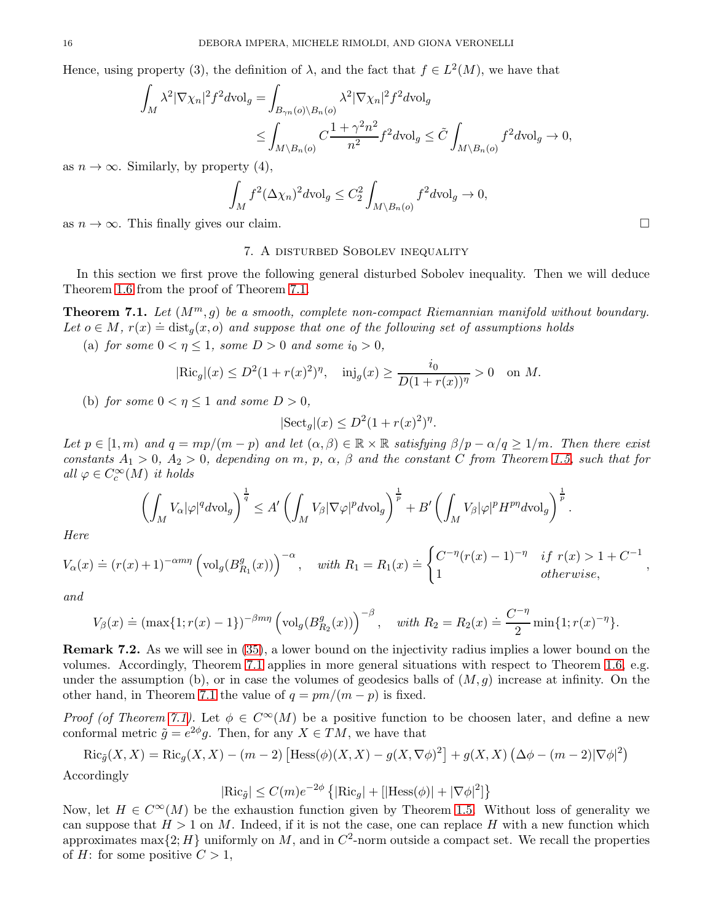Hence, using property (3), the definition of  $\lambda$ , and the fact that  $f \in L^2(M)$ , we have that

$$
\int_M \lambda^2 |\nabla \chi_n|^2 f^2 d\mathrm{vol}_g = \int_{B_{\gamma n}(o) \backslash B_n(o)} \lambda^2 |\nabla \chi_n|^2 f^2 d\mathrm{vol}_g
$$
  

$$
\leq \int_{M \backslash B_n(o)} C \frac{1 + \gamma^2 n^2}{n^2} f^2 d\mathrm{vol}_g \leq \tilde{C} \int_{M \backslash B_n(o)} f^2 d\mathrm{vol}_g \to 0,
$$

as  $n \to \infty$ . Similarly, by property (4),

$$
\int_M f^2(\Delta \chi_n)^2 d\mathrm{vol}_g \leq C_2^2 \int_{M \backslash B_n(o)} f^2 d\mathrm{vol}_g \to 0,
$$

<span id="page-15-0"></span>as  $n \to \infty$ . This finally gives our claim.

## 7. A disturbed Sobolev inequality

In this section we first prove the following general disturbed Sobolev inequality. Then we will deduce Theorem [1.6](#page-2-1) from the proof of Theorem [7.1.](#page-15-1)

<span id="page-15-1"></span>**Theorem 7.1.** Let  $(M^m, g)$  be a smooth, complete non-compact Riemannian manifold without boundary. Let  $o \in M$ ,  $r(x) \doteq \text{dist}_g(x, o)$  and suppose that one of the following set of assumptions holds

(a) for some  $0 < \eta \leq 1$ , some  $D > 0$  and some  $i_0 > 0$ ,

$$
|\text{Ric}_g|(x) \le D^2 (1+r(x)^2)^{\eta}, \quad \text{inj}_g(x) \ge \frac{i_0}{D(1+r(x))^{\eta}} > 0 \quad \text{on } M.
$$

(b) for some  $0 < \eta \leq 1$  and some  $D > 0$ ,

$$
|\text{Sect}_g|(x) \le D^2(1+r(x)^2)^{\eta}.
$$

Let  $p \in [1, m)$  and  $q = mp/(m - p)$  and let  $(\alpha, \beta) \in \mathbb{R} \times \mathbb{R}$  satisfying  $\beta/p - \alpha/q \ge 1/m$ . Then there exist constants  $A_1 > 0$ ,  $A_2 > 0$ , depending on m, p,  $\alpha$ ,  $\beta$  and the constant C from Theorem [1.5,](#page-1-1) such that for all  $\varphi \in C_c^{\infty}(M)$  it holds

$$
\left(\int_M V_\alpha |\varphi|^q d\mathrm{vol}_g\right)^{\frac{1}{q}} \leq A' \left(\int_M V_\beta |\nabla \varphi|^p d\mathrm{vol}_g\right)^{\frac{1}{p}} + B' \left(\int_M V_\beta |\varphi|^p H^{p\eta} d\mathrm{vol}_g\right)^{\frac{1}{p}}.
$$

Here

$$
V_{\alpha}(x) \doteq (r(x) + 1)^{-\alpha m\eta} \left( \text{vol}_{g}(B_{R_{1}}^{g}(x)) \right)^{-\alpha}, \quad \text{with } R_{1} = R_{1}(x) \doteq \begin{cases} C^{-\eta}(r(x) - 1)^{-\eta} & \text{if } r(x) > 1 + C^{-1} \\ 1 & \text{otherwise,} \end{cases}
$$

and

$$
V_{\beta}(x) \doteq (\max\{1; r(x) - 1\})^{-\beta m \eta} \left(\text{vol}_{g}(B_{R_{2}}^{g}(x))\right)^{-\beta}, \quad \text{with } R_{2} = R_{2}(x) \doteq \frac{C^{-\eta}}{2} \min\{1; r(x)^{-\eta}\}.
$$

Remark 7.2. As we will see in [\(35\)](#page-19-1), a lower bound on the injectivity radius implies a lower bound on the volumes. Accordingly, Theorem [7.1](#page-15-1) applies in more general situations with respect to Theorem [1.6,](#page-2-1) e.g. under the assumption (b), or in case the volumes of geodesics balls of  $(M, q)$  increase at infinity. On the other hand, in Theorem [7.1](#page-15-1) the value of  $q = pm/(m - p)$  is fixed.

Proof (of Theorem [7.1\)](#page-15-1). Let  $\phi \in C^{\infty}(M)$  be a positive function to be choosen later, and define a new conformal metric  $\tilde{g} = e^{2\phi}g$ . Then, for any  $X \in TM$ , we have that

$$
\operatorname{Ric}_{\tilde{g}}(X, X) = \operatorname{Ric}_{g}(X, X) - (m - 2) \left[ \operatorname{Hess}(\phi)(X, X) - g(X, \nabla \phi)^{2} \right] + g(X, X) \left( \Delta \phi - (m - 2) |\nabla \phi|^{2} \right)
$$

Accordingly

$$
|\mathrm{Ric}_{\tilde{g}}| \leq C(m) e^{-2\phi} \left\{|\mathrm{Ric}_{g}| + [|\mathrm{Hess}(\phi)| + |\nabla \phi|^2] \right\}
$$

Now, let  $H \in C^{\infty}(M)$  be the exhaustion function given by Theorem [1.5.](#page-1-1) Without loss of generality we can suppose that  $H > 1$  on M. Indeed, if it is not the case, one can replace H with a new function which approximates max $\{2; H\}$  uniformly on M, and in  $C^2$ -norm outside a compact set. We recall the properties of H: for some positive  $C > 1$ ,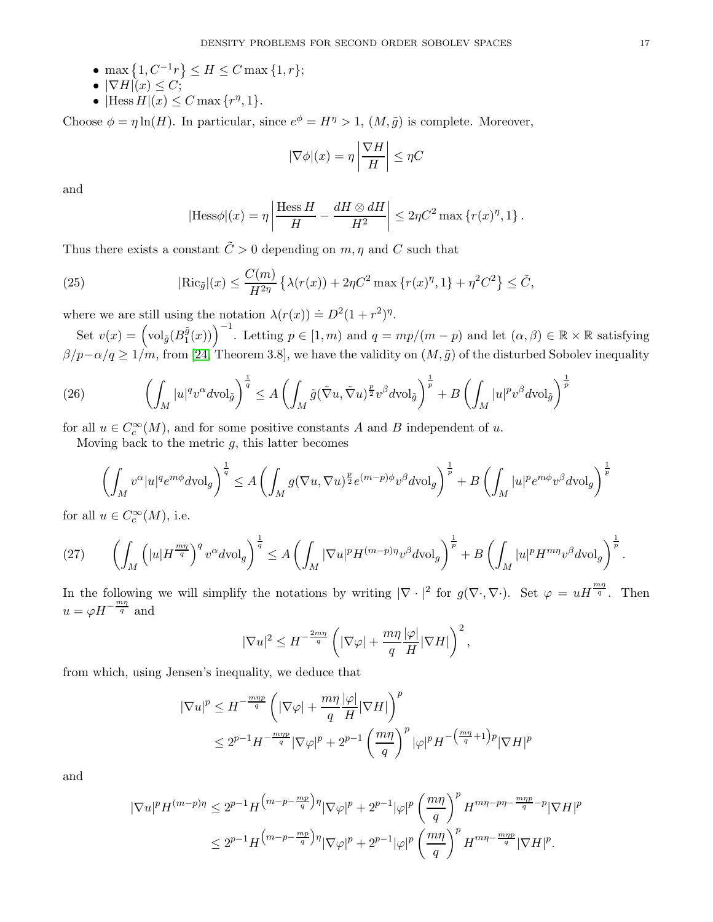- max  $\{1, C^{-1}r\} \le H \le C$  max  $\{1, r\}$ ;
- $|\nabla H|(x) \leq C;$
- $|Hess H|(x) \leq C \max \{r^{\eta}, 1\}.$

Choose  $\phi = \eta \ln(H)$ . In particular, since  $e^{\phi} = H^{\eta} > 1$ ,  $(M, \tilde{g})$  is complete. Moreover,

$$
|\nabla \phi|(x) = \eta \left| \frac{\nabla H}{H} \right| \le \eta C
$$

and

<span id="page-16-2"></span>
$$
|\text{Hess}\phi|(x) = \eta \left| \frac{\text{Hess }H}{H} - \frac{dH \otimes dH}{H^2} \right| \le 2\eta C^2 \max \left\{ r(x)^{\eta}, 1 \right\}.
$$

Thus there exists a constant  $\tilde{C} > 0$  depending on  $m, \eta$  and C such that

(25) 
$$
|\text{Ric}_{\tilde{g}}|(x) \le \frac{C(m)}{H^{2\eta}} \left\{ \lambda(r(x)) + 2\eta C^2 \max \{ r(x)^{\eta}, 1 \} + \eta^2 C^2 \right\} \le \tilde{C},
$$

where we are still using the notation  $\lambda(r(x)) \doteq D^2(1+r^2)^{\eta}$ .

Set  $v(x) = \left(\text{vol}_{\tilde{g}}(B_1^{\tilde{g}})\right)$  $\left(\frac{\tilde{g}}{1}(x)\right)^{-1}$ . Letting  $p \in [1, m)$  and  $q = mp/(m - p)$  and let  $(\alpha, \beta) \in \mathbb{R} \times \mathbb{R}$  satisfying  $\beta/p-\alpha/q\geq 1/m$ , from [\[24,](#page-23-3) Theorem 3.8], we have the validity on  $(M,\tilde{g})$  of the disturbed Sobolev inequality

<span id="page-16-1"></span>(26) 
$$
\left(\int_M |u|^q v^{\alpha} d\mathrm{vol}_{\tilde{g}}\right)^{\frac{1}{q}} \leq A \left(\int_M \tilde{g}(\tilde{\nabla}u, \tilde{\nabla}u)^{\frac{p}{2}} v^{\beta} d\mathrm{vol}_{\tilde{g}}\right)^{\frac{1}{p}} + B \left(\int_M |u|^p v^{\beta} d\mathrm{vol}_{\tilde{g}}\right)^{\frac{1}{p}}
$$

for all  $u \in C_c^{\infty}(M)$ , and for some positive constants A and B independent of u.

Moving back to the metric  $g$ , this latter becomes

$$
\left(\int_M v^{\alpha}|u|^q e^{m\phi} d\mathrm{vol}_g\right)^{\frac{1}{q}} \leq A \left(\int_M g(\nabla u, \nabla u)^{\frac{p}{2}} e^{(m-p)\phi} v^{\beta} d\mathrm{vol}_g\right)^{\frac{1}{p}} + B \left(\int_M |u|^p e^{m\phi} v^{\beta} d\mathrm{vol}_g\right)^{\frac{1}{p}}
$$

for all  $u \in C_c^{\infty}(M)$ , i.e.

<span id="page-16-0"></span>
$$
(27) \qquad \left(\int_{M}\left(|u|H^{\frac{m\eta}{q}}\right)^{q}v^{\alpha}d\mathrm{vol}_{g}\right)^{\frac{1}{q}}\leq A\left(\int_{M}|\nabla u|^{p}H^{(m-p)\eta}v^{\beta}d\mathrm{vol}_{g}\right)^{\frac{1}{p}}+B\left(\int_{M}|u|^{p}H^{m\eta}v^{\beta}d\mathrm{vol}_{g}\right)^{\frac{1}{p}}.
$$

In the following we will simplify the notations by writing  $|\nabla \cdot|^2$  for  $g(\nabla \cdot, \nabla \cdot)$ . Set  $\varphi = uH^{\frac{mn}{q}}$ . Then  $u = \varphi H^{-\frac{m\eta}{q}}$  and

$$
|\nabla u|^2 \le H^{-\frac{2m\eta}{q}} \left( |\nabla \varphi| + \frac{m\eta}{q} \frac{|\varphi|}{H} |\nabla H| \right)^2,
$$

from which, using Jensen's inequality, we deduce that

$$
\begin{aligned} |\nabla u|^p &\le H^{-\frac{m\eta p}{q}} \left( |\nabla \varphi| + \frac{m\eta}{q} \frac{|\varphi|}{H} |\nabla H| \right)^p \\ &\le 2^{p-1} H^{-\frac{m\eta p}{q}} |\nabla \varphi|^p + 2^{p-1} \left( \frac{m\eta}{q} \right)^p |\varphi|^p H^{-\left(\frac{m\eta}{q} + 1\right)p} |\nabla H|^p \end{aligned}
$$

and

$$
\begin{split} |\nabla u|^p H^{(m-p)\eta} &\le 2^{p-1} H^{\left(m-p-\frac{mp}{q}\right)\eta} |\nabla \varphi|^p + 2^{p-1} |\varphi|^p \left(\frac{m\eta}{q}\right)^p H^{m\eta-p\eta-\frac{mp}{q}-p} |\nabla H|^p \\ &\le 2^{p-1} H^{\left(m-p-\frac{mp}{q}\right)\eta} |\nabla \varphi|^p + 2^{p-1} |\varphi|^p \left(\frac{m\eta}{q}\right)^p H^{m\eta-\frac{m\eta p}{q}} |\nabla H|^p. \end{split}
$$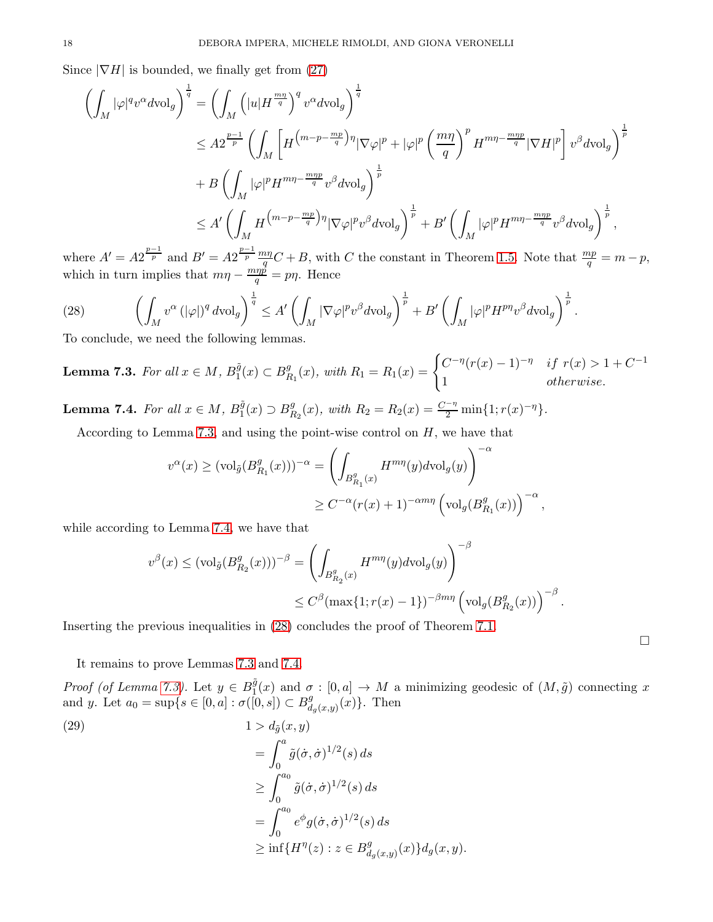Since  $|\nabla H|$  is bounded, we finally get from [\(27\)](#page-16-0)

$$
\left(\int_{M} |\varphi|^{q} v^{\alpha} d\mathrm{vol}_{g}\right)^{\frac{1}{q}} = \left(\int_{M} \left(|u| H^{\frac{m\eta}{q}}\right)^{q} v^{\alpha} d\mathrm{vol}_{g}\right)^{\frac{1}{q}}
$$
\n
$$
\leq A 2^{\frac{p-1}{p}} \left(\int_{M} \left[H^{(m-p-\frac{mp}{q})\eta} |\nabla \varphi|^{p} + |\varphi|^{p} \left(\frac{m\eta}{q}\right)^{p} H^{mn-\frac{mnp}{q}} |\nabla H|^{p}\right] v^{\beta} d\mathrm{vol}_{g}\right)^{\frac{1}{p}}
$$
\n
$$
+ B \left(\int_{M} |\varphi|^{p} H^{mn-\frac{mnp}{q}} v^{\beta} d\mathrm{vol}_{g}\right)^{\frac{1}{p}}
$$
\n
$$
\leq A' \left(\int_{M} H^{(m-p-\frac{mp}{q})\eta} |\nabla \varphi|^{p} v^{\beta} d\mathrm{vol}_{g}\right)^{\frac{1}{p}} + B' \left(\int_{M} |\varphi|^{p} H^{mn-\frac{mnp}{q}} v^{\beta} d\mathrm{vol}_{g}\right)^{\frac{1}{p}},
$$

where  $A' = A 2^{\frac{p-1}{p}}$  and  $B' = A 2^{\frac{p-1}{p}} \frac{m\eta}{q} C + B$ , with C the constant in Theorem [1.5.](#page-1-1) Note that  $\frac{mp}{q} = m - p$ , which in turn implies that  $m\eta - \frac{m\eta p}{q} = p\eta$ . Hence

<span id="page-17-2"></span>(28) 
$$
\left(\int_M v^{\alpha} \left(|\varphi|\right)^q d\mathrm{vol}_g\right)^{\frac{1}{q}} \leq A' \left(\int_M |\nabla \varphi|^p v^{\beta} d\mathrm{vol}_g\right)^{\frac{1}{p}} + B' \left(\int_M |\varphi|^p H^{p\eta} v^{\beta} d\mathrm{vol}_g\right)^{\frac{1}{p}}.
$$

To conclude, we need the following lemmas.

<span id="page-17-0"></span>**Lemma 7.3.** For all  $x \in M$ ,  $B_1^{\tilde{g}}$  $\frac{\tilde{g}}{1}(x) \subset B^g_R$  $R_1(x)$ , with  $R_1 = R_1(x) = \begin{cases} C^{-\eta}(r(x) - 1)^{-\eta} & \text{if } r(x) > 1 + C^{-1} \\ 1 & \text{otherwise} \end{cases}$ 1 otherwise.

<span id="page-17-1"></span>**Lemma 7.4.** For all  $x \in M$ ,  $B_1^{\tilde{g}}$  $\frac{\tilde{g}}{1}(x) \supset B_R^g$  $R_2(x)$ , with  $R_2 = R_2(x) = \frac{C^{-\eta}}{2} \min\{1; r(x)^{-\eta}\}.$ 

According to Lemma [7.3,](#page-17-0) and using the point-wise control on  $H$ , we have that

$$
v^{\alpha}(x) \ge (\text{vol}_{\tilde{g}}(B_{R_1}^g(x)))^{-\alpha} = \left(\int_{B_{R_1}^g(x)} H^{m\eta}(y)d\text{vol}_g(y)\right)^{-\alpha}
$$
  

$$
\ge C^{-\alpha}(r(x) + 1)^{-\alpha m\eta} \left(\text{vol}_g(B_{R_1}^g(x))\right)^{-\alpha},
$$

while according to Lemma [7.4,](#page-17-1) we have that

$$
v^{\beta}(x) \le (\text{vol}_{\tilde{g}}(B_{R_2}^g(x)))^{-\beta} = \left(\int_{B_{R_2}^g(x)} H^{m\eta}(y) d\text{vol}_g(y)\right)^{-\beta}
$$
  

$$
\le C^{\beta} (\max\{1; r(x) - 1\})^{-\beta m\eta} \left(\text{vol}_g(B_{R_2}^g(x))\right)^{-\beta}.
$$

Inserting the previous inequalities in [\(28\)](#page-17-2) concludes the proof of Theorem [7.1.](#page-15-1)

It remains to prove Lemmas [7.3](#page-17-0) and [7.4.](#page-17-1)

*Proof (of Lemma [7.3\)](#page-17-0).* Let  $y \in B_1^{\tilde{g}}$  $\mathcal{L}_{1}^{g}(x)$  and  $\sigma : [0, a] \to M$  a minimizing geodesic of  $(M, \tilde{g})$  connecting x and y. Let  $a_0 = \sup \{ s \in [0, a] : \sigma([0, s]) \subset B_d^g \}$  $_{d_g(x,y)}^g(x)$ . Then

 $\Box$ 

<span id="page-17-3"></span>(29)  
\n
$$
1 > d_{\tilde{g}}(x, y)
$$
\n
$$
= \int_0^a \tilde{g}(\dot{\sigma}, \dot{\sigma})^{1/2}(s) ds
$$
\n
$$
\geq \int_0^{a_0} \tilde{g}(\dot{\sigma}, \dot{\sigma})^{1/2}(s) ds
$$
\n
$$
= \int_0^{a_0} e^{\phi} g(\dot{\sigma}, \dot{\sigma})^{1/2}(s) ds
$$
\n
$$
\geq \inf \{ H^{\eta}(z) : z \in B^g_{d_g(x, y)}(x) \} dg(x, y).
$$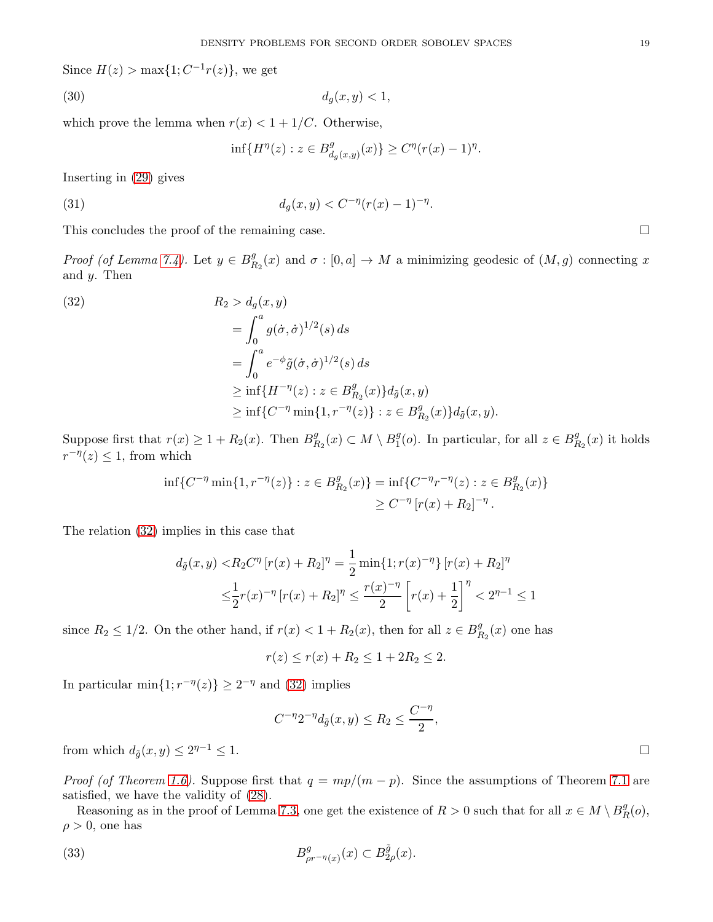Since  $H(z) > \max\{1; C^{-1}r(z)\}\text{, we get}$ 

$$
(30) \t\t d_g(x,y) < 1,
$$

which prove the lemma when  $r(x) < 1 + 1/C$ . Otherwise,

$$
\inf \{ H^{\eta}(z) : z \in B_{d_g(x,y)}^g(x) \} \ge C^{\eta}(r(x) - 1)^{\eta}.
$$

Inserting in [\(29\)](#page-17-3) gives

(31) 
$$
d_g(x,y) < C^{-\eta}(r(x)-1)^{-\eta}.
$$

This concludes the proof of the remaining case.

*Proof (of Lemma [7.4\)](#page-17-1)*. Let  $y \in B_R^g$  $R_2(x)$  and  $\sigma : [0, a] \to M$  a minimizing geodesic of  $(M, g)$  connecting x and y. Then

<span id="page-18-0"></span>(32)  
\n
$$
R_2 > d_g(x, y)
$$
\n
$$
= \int_0^a g(\dot{\sigma}, \dot{\sigma})^{1/2}(s) ds
$$
\n
$$
= \int_0^a e^{-\phi} \tilde{g}(\dot{\sigma}, \dot{\sigma})^{1/2}(s) ds
$$
\n
$$
\geq \inf \{ H^{-\eta}(z) : z \in B_{R_2}^g(x) \} d_{\tilde{g}}(x, y)
$$
\n
$$
\geq \inf \{ C^{-\eta} \min \{ 1, r^{-\eta}(z) \} : z \in B_{R_2}^g(x) \} d_{\tilde{g}}(x, y).
$$

Suppose first that  $r(x) \geq 1 + R_2(x)$ . Then  $B_R^g$  $R_2^g(x) \subset M \setminus B_1^g$  $_1^g(o)$ . In particular, for all  $z \in B_R^g$  $_{R_2}^g(x)$  it holds  $r^{-\eta}(z) \leq 1$ , from which

$$
\inf\{C^{-\eta}\min\{1,r^{-\eta}(z)\}:z\in B_{R_2}^g(x)\}=\inf\{C^{-\eta}r^{-\eta}(z):z\in B_{R_2}^g(x)\}\
$$
  

$$
\geq C^{-\eta}\left[r(x)+R_2\right]^{-\eta}.
$$

The relation [\(32\)](#page-18-0) implies in this case that

$$
d_{\tilde{g}}(x, y) < R_2 C^\eta \left[ r(x) + R_2 \right]^\eta = \frac{1}{2} \min\{1; r(x)^{-\eta}\} \left[ r(x) + R_2 \right]^\eta
$$
\n
$$
\leq \frac{1}{2} r(x)^{-\eta} \left[ r(x) + R_2 \right]^\eta \leq \frac{r(x)^{-\eta}}{2} \left[ r(x) + \frac{1}{2} \right]^\eta < 2^{\eta - 1} \leq 1
$$

since  $R_2 \leq 1/2$ . On the other hand, if  $r(x) < 1 + R_2(x)$ , then for all  $z \in B_F^g$  $_{R_2}^g(x)$  one has

$$
r(z) \le r(x) + R_2 \le 1 + 2R_2 \le 2.
$$

In particular  $\min\{1; r^{-\eta}(z)\} \geq 2^{-\eta}$  and [\(32\)](#page-18-0) implies

$$
C^{-\eta}2^{-\eta}d_{\tilde{g}}(x,y) \le R_2 \le \frac{C^{-\eta}}{2},
$$

from which  $d_{\tilde{g}}(x, y) \leq 2^{\eta - 1} \leq 1$ .  $\eta^{-1} \leq 1.$ 

*Proof (of Theorem [1.6\)](#page-2-1).* Suppose first that  $q = mp/(m - p)$ . Since the assumptions of Theorem [7.1](#page-15-1) are satisfied, we have the validity of [\(28\)](#page-17-2).

Reasoning as in the proof of Lemma [7.3,](#page-17-0) one get the existence of  $R > 0$  such that for all  $x \in M \setminus B_R^g$  $\frac{g}{R}(o),$  $\rho > 0$ , one has

(33) 
$$
B_{\rho r^{-\eta}(x)}^{g}(x) \subset B_{2\rho}^{\tilde{g}}(x).
$$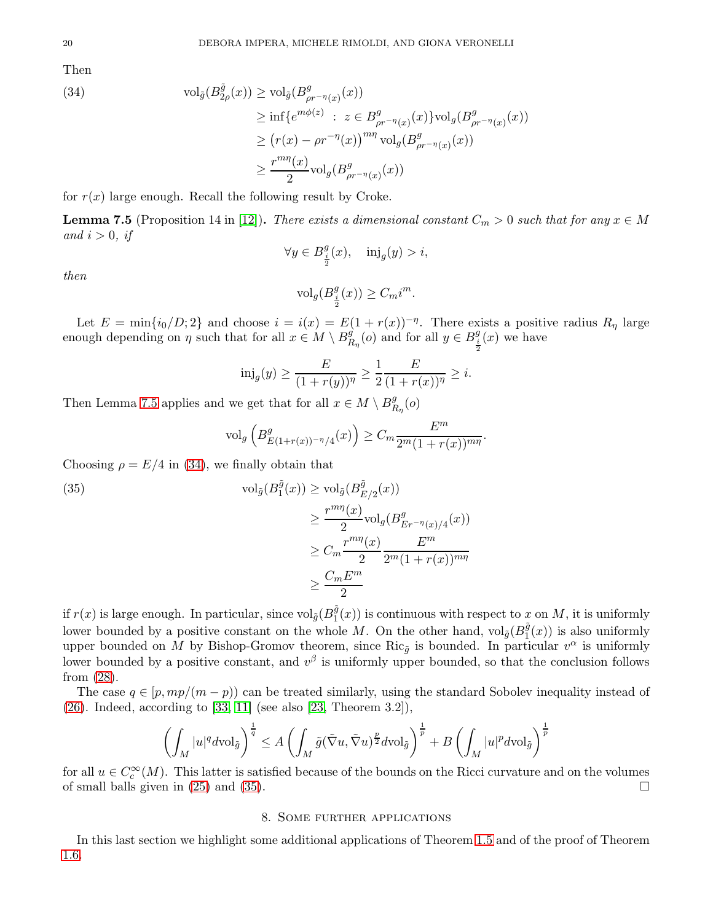Then

<span id="page-19-3"></span>(34) 
$$
\operatorname{vol}_{\tilde{g}}(B_{2\rho}^{\tilde{g}}(x)) \ge \operatorname{vol}_{\tilde{g}}(B_{\rho r^{-\eta}(x)}^{g}(x))
$$

$$
\ge \inf \{ e^{m\phi(z)} : z \in B_{\rho r^{-\eta}(x)}^{g}(x) \} \operatorname{vol}_{g}(B_{\rho r^{-\eta}(x)}^{g}(x))
$$

$$
\ge (r(x) - \rho r^{-\eta}(x))^{m\eta} \operatorname{vol}_{g}(B_{\rho r^{-\eta}(x)}^{g}(x))
$$

$$
\ge \frac{r^{m\eta}(x)}{2} \operatorname{vol}_{g}(B_{\rho r^{-\eta}(x)}^{g}(x))
$$

for  $r(x)$  large enough. Recall the following result by Croke.

<span id="page-19-2"></span>**Lemma 7.5** (Proposition 14 in [\[12\]](#page-23-13)). There exists a dimensional constant  $C_m > 0$  such that for any  $x \in M$ and  $i > 0$ , if

$$
\forall y \in B_{\frac{i}{2}}^{g}(x), \quad \text{inj}_{g}(y) > i,
$$

then

 $\mathrm{vol}_g(B^g_{\frac{i}{2}}(x)) \geq C_m i^m.$ 

Let  $E = \min\{i_0/D; 2\}$  and choose  $i = i(x) = E(1 + r(x))^{-\eta}$ . There exists a positive radius  $R_\eta$  large enough depending on  $\eta$  such that for all  $x \in M \setminus B_R^g$  $R_{\eta}(o)$  and for all  $y \in B_{\frac{i}{2}}^{g}(x)$  we have

$$
inj_g(y) \ge \frac{E}{(1+r(y))^{\eta}} \ge \frac{1}{2} \frac{E}{(1+r(x))^{\eta}} \ge i.
$$

Then Lemma [7.5](#page-19-2) applies and we get that for all  $x \in M \setminus B^g$  $\frac{g}{R_\eta}(o)$ 

$$
\text{vol}_g\left(B_{E(1+r(x))^{-\eta}/4}^g(x)\right) \geq C_m \frac{E^m}{2^m(1+r(x))^{m\eta}}.
$$

Choosing  $\rho = E/4$  in [\(34\)](#page-19-3), we finally obtain that

<span id="page-19-1"></span>(35)  
\n
$$
\text{vol}_{\tilde{g}}(B_1^{\tilde{g}}(x)) \ge \text{vol}_{\tilde{g}}(B_{E/2}^{\tilde{g}}(x))
$$
\n
$$
\ge \frac{r^{m\eta}(x)}{2} \text{vol}_g(B_{E r^{-\eta}(x)/4}^g(x))
$$
\n
$$
\ge C_m \frac{r^{m\eta}(x)}{2} \frac{E^m}{2^m (1+r(x))^{m\eta}}
$$
\n
$$
\ge \frac{C_m E^m}{2}
$$

if  $r(x)$  is large enough. In particular, since  $\mathrm{vol}_{\tilde{g}}(B_1^{\tilde{g}})$  $\binom{g}{1}(x)$  is continuous with respect to x on M, it is uniformly lower bounded by a positive constant on the whole M. On the other hand,  $\mathrm{vol}_{\tilde{g}}(B_1^{\tilde{g}})$  $j_1^g(x)$  is also uniformly upper bounded on M by Bishop-Gromov theorem, since Ric<sub> $\tilde{g}$ </sub> is bounded. In particular  $v^{\alpha}$  is uniformly lower bounded by a positive constant, and  $v^{\beta}$  is uniformly upper bounded, so that the conclusion follows from [\(28\)](#page-17-2).

The case  $q \in [p, mp/(m-p))$  can be treated similarly, using the standard Sobolev inequality instead of  $(26)$ . Indeed, according to [\[33,](#page-24-1) [11\]](#page-23-26) (see also [\[23,](#page-23-4) Theorem 3.2]),

$$
\left(\int_M |u|^q d\mathrm{vol}_{\tilde{g}}\right)^{\frac{1}{q}} \leq A \left(\int_M \tilde{g}(\tilde{\nabla}u, \tilde{\nabla}u)^{\frac{p}{2}} d\mathrm{vol}_{\tilde{g}}\right)^{\frac{1}{p}} + B \left(\int_M |u|^p d\mathrm{vol}_{\tilde{g}}\right)^{\frac{1}{p}}
$$

<span id="page-19-0"></span>for all  $u \in C_c^{\infty}(M)$ . This latter is satisfied because of the bounds on the Ricci curvature and on the volumes of small balls given in [\(25\)](#page-16-2) and [\(35\)](#page-19-1).  $\Box$ 

### 8. Some further applications

In this last section we highlight some additional applications of Theorem [1.5](#page-1-1) and of the proof of Theorem [1.6.](#page-2-1)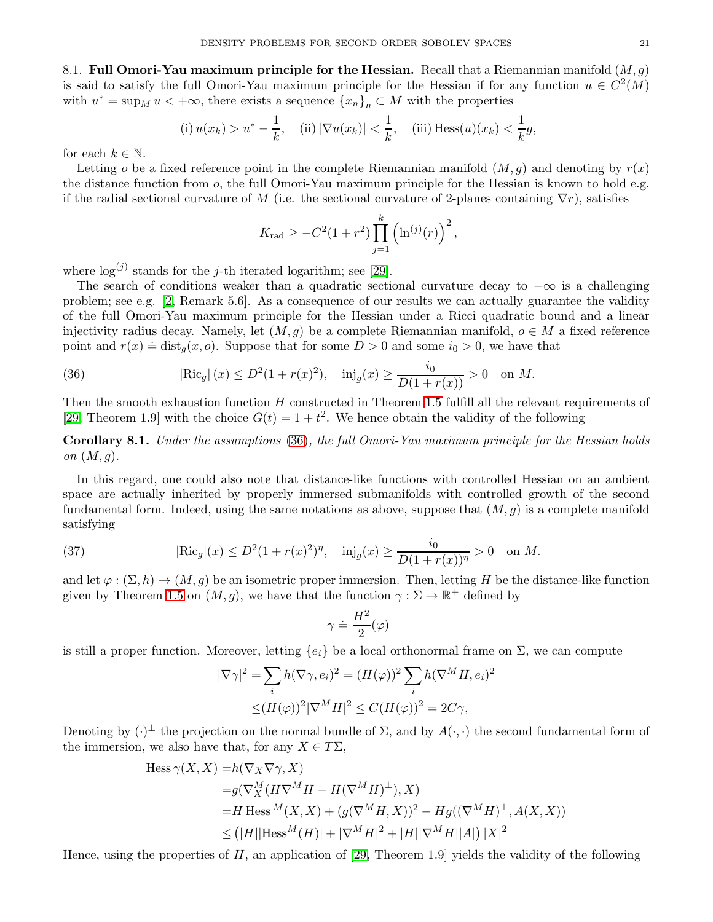<span id="page-20-0"></span>8.1. Full Omori-Yau maximum principle for the Hessian. Recall that a Riemannian manifold  $(M, g)$ is said to satisfy the full Omori-Yau maximum principle for the Hessian if for any function  $u \in C^2(M)$ with  $u^* = \sup_M u < +\infty$ , there exists a sequence  $\{x_n\}_n \subset M$  with the properties

(i) 
$$
u(x_k) > u^* - \frac{1}{k}
$$
, (ii)  $|\nabla u(x_k)| < \frac{1}{k}$ , (iii)  $\text{Hess}(u)(x_k) < \frac{1}{k}g$ ,

for each  $k \in \mathbb{N}$ .

Letting o be a fixed reference point in the complete Riemannian manifold  $(M, g)$  and denoting by  $r(x)$ the distance function from o, the full Omori-Yau maximum principle for the Hessian is known to hold e.g. if the radial sectional curvature of M (i.e. the sectional curvature of 2-planes containing  $\nabla r$ ), satisfies

$$
K_{\text{rad}} \geq -C^2(1+r^2)\prod_{j=1}^k (\ln^{(j)}(r))^2
$$
,

where  $\log^{(j)}$  stands for the j-th iterated logarithm; see [\[29\]](#page-23-27).

The search of conditions weaker than a quadratic sectional curvature decay to  $-\infty$  is a challenging problem; see e.g. [\[2,](#page-23-28) Remark 5.6]. As a consequence of our results we can actually guarantee the validity of the full Omori-Yau maximum principle for the Hessian under a Ricci quadratic bound and a linear injectivity radius decay. Namely, let  $(M, g)$  be a complete Riemannian manifold,  $o \in M$  a fixed reference point and  $r(x) \doteq \text{dist}_g(x, o)$ . Suppose that for some  $D > 0$  and some  $i_0 > 0$ , we have that

<span id="page-20-1"></span>(36) 
$$
|\text{Ric}_g|(x) \le D^2(1+r(x)^2), \quad \text{inj}_g(x) \ge \frac{i_0}{D(1+r(x))} > 0 \quad \text{on } M.
$$

Then the smooth exhaustion function H constructed in Theorem [1.5](#page-1-1) fulfill all the relevant requirements of [\[29,](#page-23-27) Theorem 1.9] with the choice  $G(t) = 1 + t^2$ . We hence obtain the validity of the following

Corollary 8.1. Under the assumptions [\(36\)](#page-20-1), the full Omori-Yau maximum principle for the Hessian holds on  $(M, g)$ .

In this regard, one could also note that distance-like functions with controlled Hessian on an ambient space are actually inherited by properly immersed submanifolds with controlled growth of the second fundamental form. Indeed, using the same notations as above, suppose that  $(M, q)$  is a complete manifold satisfying

<span id="page-20-2"></span>(37) 
$$
|\text{Ric}_g|(x) \le D^2(1+r(x)^2)^{\eta}, \quad \text{inj}_g(x) \ge \frac{i_0}{D(1+r(x))^{\eta}} > 0 \quad \text{on } M.
$$

and let  $\varphi : (\Sigma, h) \to (M, q)$  be an isometric proper immersion. Then, letting H be the distance-like function given by Theorem [1.5](#page-1-1) on  $(M, g)$ , we have that the function  $\gamma : \Sigma \to \mathbb{R}^+$  defined by

$$
\gamma \doteq \frac{H^2}{2}(\varphi)
$$

is still a proper function. Moreover, letting  ${e_i}$  be a local orthonormal frame on  $\Sigma$ , we can compute

$$
|\nabla \gamma|^2 = \sum_i h(\nabla \gamma, e_i)^2 = (H(\varphi))^2 \sum_i h(\nabla^M H, e_i)^2
$$
  

$$
\leq (H(\varphi))^2 |\nabla^M H|^2 \leq C (H(\varphi))^2 = 2C\gamma,
$$

Denoting by  $(\cdot)^{\perp}$  the projection on the normal bundle of  $\Sigma$ , and by  $A(\cdot, \cdot)$  the second fundamental form of the immersion, we also have that, for any  $X \in T\Sigma$ ,

Hess 
$$
\gamma(X, X) = h(\nabla_X \nabla \gamma, X)
$$
  
\n
$$
= g(\nabla_X^M (H \nabla^M H - H (\nabla^M H)^{\perp}), X)
$$
\n
$$
= H \text{ Hess}^M (X, X) + (g(\nabla^M H, X))^2 - Hg((\nabla^M H)^{\perp}, A(X, X))
$$
\n
$$
\leq (|H||\text{Hess}^M(H)| + |\nabla^M H|^2 + |H||\nabla^M H||A|) |X|^2
$$

Hence, using the properties of  $H$ , an application of [\[29,](#page-23-27) Theorem 1.9] yields the validity of the following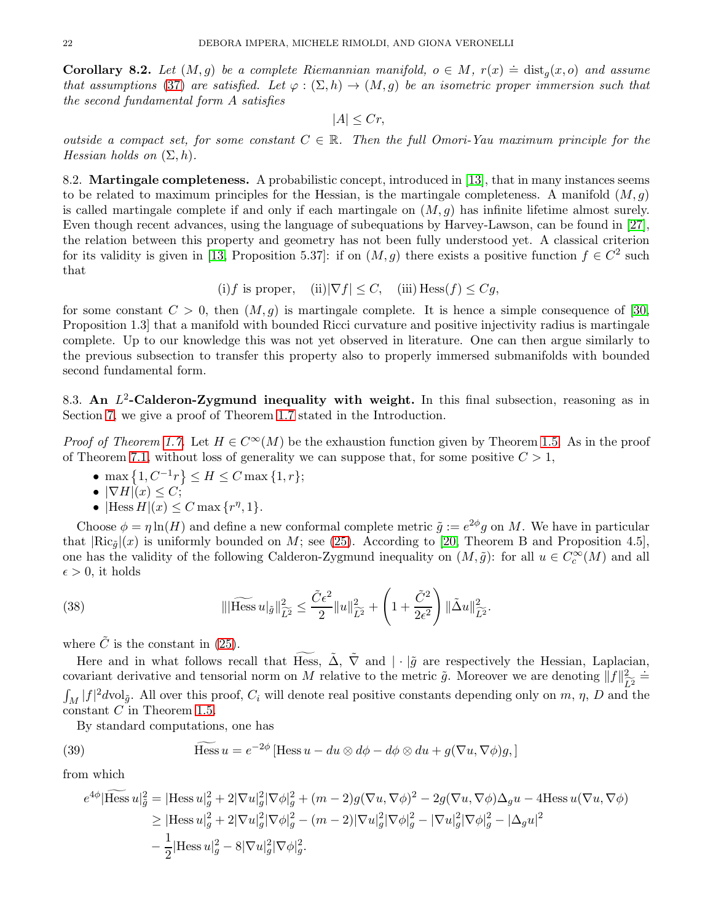**Corollary 8.2.** Let  $(M, g)$  be a complete Riemannian manifold,  $o \in M$ ,  $r(x) \doteq \text{dist}_g(x, o)$  and assume that assumptions [\(37\)](#page-20-2) are satisfied. Let  $\varphi : (\Sigma, h) \to (M, q)$  be an isometric proper immersion such that the second fundamental form A satisfies

 $|A| < Cr$ ,

outside a compact set, for some constant  $C \in \mathbb{R}$ . Then the full Omori-Yau maximum principle for the Hessian holds on  $(\Sigma, h)$ .

<span id="page-21-0"></span>8.2. Martingale completeness. A probabilistic concept, introduced in [\[13\]](#page-23-29), that in many instances seems to be related to maximum principles for the Hessian, is the martingale completeness. A manifold  $(M, q)$ is called martingale complete if and only if each martingale on  $(M, q)$  has infinite lifetime almost surely. Even though recent advances, using the language of subequations by Harvey-Lawson, can be found in [\[27\]](#page-23-30), the relation between this property and geometry has not been fully understood yet. A classical criterion for its validity is given in [\[13,](#page-23-29) Proposition 5.37]: if on  $(M, g)$  there exists a positive function  $f \in C^2$  such that

(i)f is proper, (ii) $|\nabla f| \leq C$ , (iii)  $\text{Hess}(f) \leq Cg$ ,

for some constant  $C > 0$ , then  $(M, g)$  is martingale complete. It is hence a simple consequence of [\[30,](#page-23-9) Proposition 1.3] that a manifold with bounded Ricci curvature and positive injectivity radius is martingale complete. Up to our knowledge this was not yet observed in literature. One can then argue similarly to the previous subsection to transfer this property also to properly immersed submanifolds with bounded second fundamental form.

<span id="page-21-1"></span>8.3. An  $L^2$ -Calderon-Zygmund inequality with weight. In this final subsection, reasoning as in Section [7,](#page-15-0) we give a proof of Theorem [1.7](#page-3-4) stated in the Introduction.

*Proof of Theorem [1.7.](#page-3-4)* Let  $H \in C^{\infty}(M)$  be the exhaustion function given by Theorem [1.5.](#page-1-1) As in the proof of Theorem [7.1,](#page-15-1) without loss of generality we can suppose that, for some positive  $C > 1$ ,

- max  $\{1, C^{-1}r\} \le H \le C$  max  $\{1, r\}$ ;
- $|\nabla H|(x) \leq C$ ;
- $|Hess H|(x) \leq C \max \{r^{\eta}, 1\}.$

Choose  $\phi = \eta \ln(H)$  and define a new conformal complete metric  $\tilde{g} := e^{2\phi} g$  on M. We have in particular that  $|Ric_{\tilde{g}}|(x)$  is uniformly bounded on M; see [\(25\)](#page-16-2). According to [\[20,](#page-23-8) Theorem B and Proposition 4.5], one has the validity of the following Calderon-Zygmund inequality on  $(M, \tilde{g})$ : for all  $u \in C_c^{\infty}(M)$  and all  $\epsilon > 0$ , it holds

<span id="page-21-3"></span>(38) 
$$
\|\widehat{\text{Hess } u|_{\tilde{g}}}\|_{\tilde{L}^2}^2 \leq \frac{\tilde{C}\epsilon^2}{2} \|u\|_{\tilde{L}^2}^2 + \left(1 + \frac{\tilde{C}^2}{2\epsilon^2}\right) \|\tilde{\Delta}u\|_{\tilde{L}^2}^2.
$$

where  $\tilde{C}$  is the constant in [\(25\)](#page-16-2).

Here and in what follows recall that Hess,  $\tilde{\Delta}$ ,  $\tilde{\nabla}$  and  $|\cdot|\tilde{g}$  are respectively the Hessian, Laplacian, covariant derivative and tensorial norm on M relative to the metric  $\tilde{g}$ . Moreover we are denoting  $||f||^2_{\tilde{L}}$  $\frac{2}{\widetilde{L}^2}$   $\stackrel{\doteq}{=}$  $\int_M |f|^2 dvol_{\tilde{g}}$ . All over this proof,  $C_i$  will denote real positive constants depending only on  $m, \eta, D$  and the constant  $C$  in Theorem [1.5.](#page-1-1)

<span id="page-21-2"></span>By standard computations, one has

(39) 
$$
\widetilde{Hess} u = e^{-2\phi} \left[ \text{Hess } u - du \otimes d\phi - d\phi \otimes du + g(\nabla u, \nabla \phi)g \right],
$$

from which

$$
e^{4\phi}|\widetilde{\text{Hess}} u|_{\tilde{g}}^2 = |\text{Hess } u|_g^2 + 2|\nabla u|_g^2|\nabla \phi|_g^2 + (m-2)g(\nabla u, \nabla \phi)^2 - 2g(\nabla u, \nabla \phi)\Delta_g u - 4\text{Hess } u(\nabla u, \nabla \phi)
$$
  
\n
$$
\geq |\text{Hess } u|_g^2 + 2|\nabla u|_g^2|\nabla \phi|_g^2 - (m-2)|\nabla u|_g^2|\nabla \phi|_g^2 - |\nabla u|_g^2|\nabla \phi|_g^2 - |\Delta_g u|^2
$$
  
\n
$$
-\frac{1}{2}|\text{Hess } u|_g^2 - 8|\nabla u|_g^2|\nabla \phi|_g^2.
$$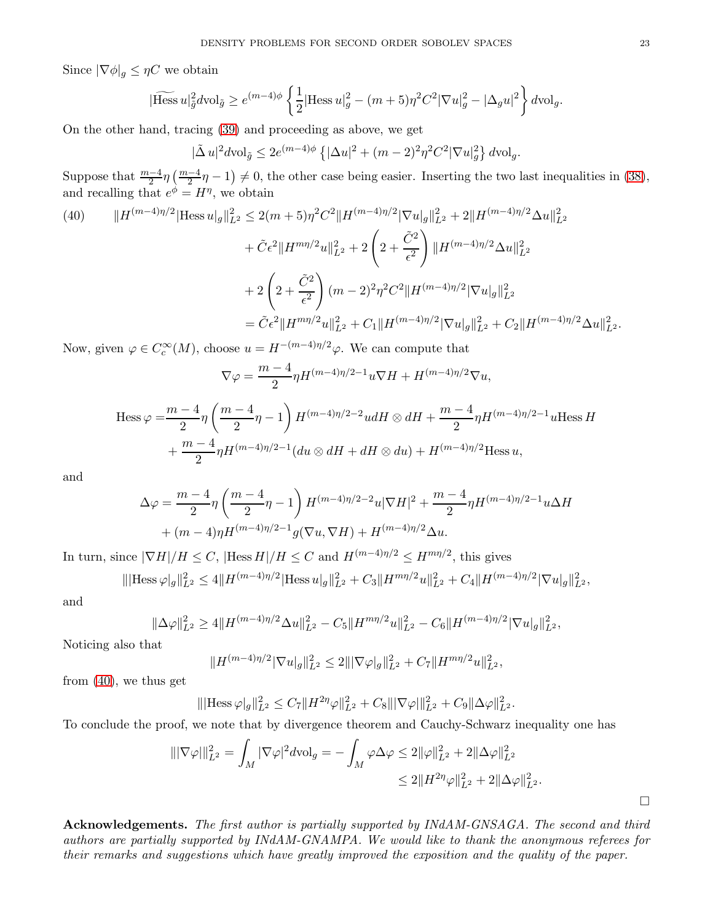Since  $|\nabla \phi|_q \leq \eta C$  we obtain

$$
|\widetilde{\text{Hess}}\, u|^2_{\tilde{g}} d\text{vol}_{\tilde{g}} \geq e^{(m-4)\phi} \left\{ \frac{1}{2} |\text{Hess}\, u|^2_g - (m+5)\eta^2 C^2 |\nabla u|^2_g - |\Delta_g u|^2 \right\} d\text{vol}_g.
$$

On the other hand, tracing [\(39\)](#page-21-2) and proceeding as above, we get

$$
|\tilde{\Delta} u|^2 d\mathrm{vol}_{\tilde{g}} \le 2e^{(m-4)\phi} \left\{ |\Delta u|^2 + (m-2)^2 \eta^2 C^2 |\nabla u|_g^2 \right\} d\mathrm{vol}_g.
$$

Suppose that  $\frac{m-4}{2}\eta\left(\frac{m-4}{2}\eta-1\right)\neq 0$ , the other case being easier. Inserting the two last inequalities in [\(38\)](#page-21-3), and recalling that  $e^{\phi} = H^{\eta}$ , we obtain

<span id="page-22-0"></span>(40) 
$$
||H^{(m-4)\eta/2}|\text{Hess }u|_{g}||_{L^{2}}^{2} \leq 2(m+5)\eta^{2}C^{2}||H^{(m-4)\eta/2}|\nabla u|_{g}||_{L^{2}}^{2} + 2||H^{(m-4)\eta/2}\Delta u||_{L^{2}}^{2} + \tilde{C}\epsilon^{2}||H^{m\eta/2}u||_{L^{2}}^{2} + 2\left(2 + \frac{\tilde{C}^{2}}{\epsilon^{2}}\right)||H^{(m-4)\eta/2}\Delta u||_{L^{2}}^{2} + 2\left(2 + \frac{\tilde{C}^{2}}{\epsilon^{2}}\right)(m-2)^{2}\eta^{2}C^{2}||H^{(m-4)\eta/2}|\nabla u|_{g}||_{L^{2}}^{2} = \tilde{C}\epsilon^{2}||H^{m\eta/2}u||_{L^{2}}^{2} + C_{1}||H^{(m-4)\eta/2}|\nabla u|_{g}||_{L^{2}}^{2} + C_{2}||H^{(m-4)\eta/2}\Delta u||_{L^{2}}^{2}.
$$

Now, given  $\varphi \in C_c^{\infty}(M)$ , choose  $u = H^{-(m-4)\eta/2}\varphi$ . We can compute that

$$
\nabla \varphi = \frac{m-4}{2} \eta H^{(m-4)\eta/2 - 1} u \nabla H + H^{(m-4)\eta/2} \nabla u,
$$

$$
\text{Hess }\varphi = \frac{m-4}{2}\eta \left(\frac{m-4}{2}\eta - 1\right) H^{(m-4)\eta/2-2}u dH \otimes dH + \frac{m-4}{2}\eta H^{(m-4)\eta/2-1}u \text{Hess }H
$$

$$
+ \frac{m-4}{2}\eta H^{(m-4)\eta/2-1}(du \otimes dH + dH \otimes du) + H^{(m-4)\eta/2}\text{Hess }u,
$$

and

$$
\Delta \varphi = \frac{m-4}{2} \eta \left( \frac{m-4}{2} \eta - 1 \right) H^{(m-4)\eta/2 - 2} u |\nabla H|^2 + \frac{m-4}{2} \eta H^{(m-4)\eta/2 - 1} u \Delta H
$$
  
+ 
$$
(m-4)\eta H^{(m-4)\eta/2 - 1} g(\nabla u, \nabla H) + H^{(m-4)\eta/2} \Delta u.
$$

In turn, since  $|\nabla H|/H \leq C$ ,  $|\text{Hess } H|/H \leq C$  and  $H^{(m-4)\eta/2} \leq H^{m\eta/2}$ , this gives

$$
\|\|\text{Hess}\,\varphi|_{g}\|_{L^{2}}^{2} \le 4\|H^{(m-4)\eta/2}|\text{Hess}\,u|_{g}\|_{L^{2}}^{2} + C_{3}\|H^{m\eta/2}u\|_{L^{2}}^{2} + C_{4}\|H^{(m-4)\eta/2}|\nabla u|_{g}\|_{L^{2}}^{2},
$$

and

$$
\|\Delta\varphi\|_{L^2}^2 \ge 4\|H^{(m-4)\eta/2}\Delta u\|_{L^2}^2 - C_5\|H^{m\eta/2}u\|_{L^2}^2 - C_6\|H^{(m-4)\eta/2}|\nabla u|_{g}\|_{L^2}^2,
$$

Noticing also that

$$
||H^{(m-4)\eta/2}|\nabla u|_g||_{L^2}^2 \le 2||\nabla \varphi|_g||_{L^2}^2 + C_7||H^{m\eta/2}u||_{L^2}^2,
$$

from [\(40\)](#page-22-0), we thus get

$$
\|\|\text{Hess}\,\varphi|_{g}\|_{L^{2}}^{2} \leq C_{7}\|H^{2\eta}\varphi\|_{L^{2}}^{2} + C_{8}\||\nabla\varphi|\|_{L^{2}}^{2} + C_{9}\|\Delta\varphi\|_{L^{2}}^{2}.
$$

To conclude the proof, we note that by divergence theorem and Cauchy-Schwarz inequality one has

$$
\begin{aligned} \|\nabla \varphi\|_{L^2}^2 &= \int_M |\nabla \varphi|^2 d\mathrm{vol}_g = -\int_M \varphi \Delta \varphi \le 2 \|\varphi\|_{L^2}^2 + 2\|\Delta \varphi\|_{L^2}^2 \\ &\le 2 \|H^{2\eta} \varphi\|_{L^2}^2 + 2\|\Delta \varphi\|_{L^2}^2. \end{aligned}
$$

Acknowledgements. The first author is partially supported by INdAM-GNSAGA. The second and third authors are partially supported by INdAM-GNAMPA. We would like to thank the anonymous referees for their remarks and suggestions which have greatly improved the exposition and the quality of the paper.

 $\Box$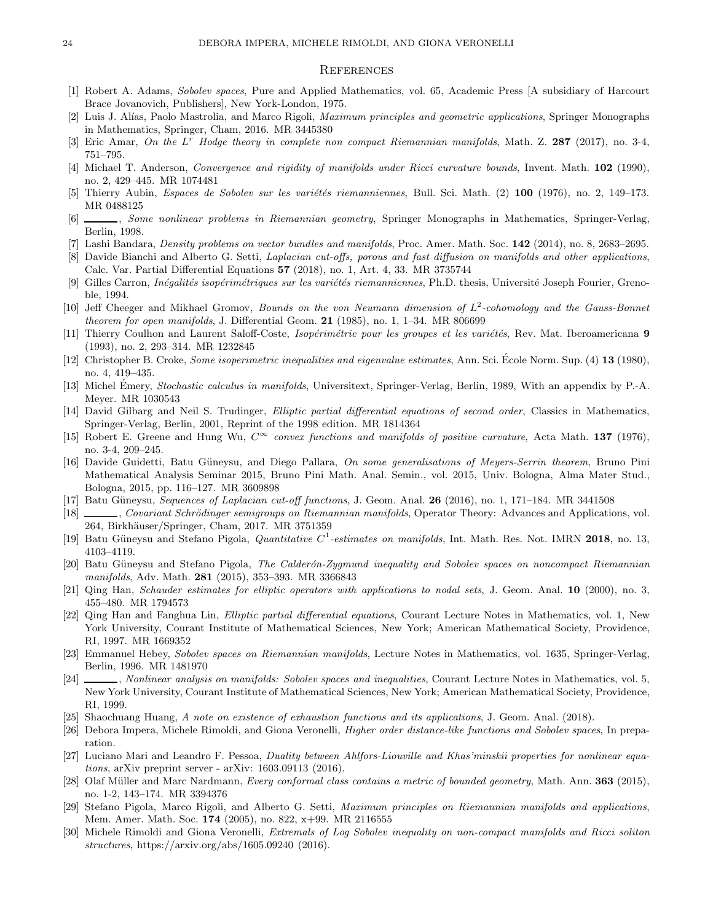### <span id="page-23-0"></span>**REFERENCES**

- <span id="page-23-23"></span>[1] Robert A. Adams, Sobolev spaces, Pure and Applied Mathematics, vol. 65, Academic Press [A subsidiary of Harcourt Brace Jovanovich, Publishers], New York-London, 1975.
- <span id="page-23-28"></span><span id="page-23-16"></span>[2] Luis J. Alías, Paolo Mastrolia, and Marco Rigoli, *Maximum principles and geometric applications*, Springer Monographs in Mathematics, Springer, Cham, 2016. MR 3445380
- <span id="page-23-20"></span>[3] Eric Amar, On the L<sup>r</sup> Hodge theory in complete non compact Riemannian manifolds, Math. Z.  $287$  (2017), no. 3-4, 751–795.
- <span id="page-23-1"></span>[4] Michael T. Anderson, Convergence and rigidity of manifolds under Ricci curvature bounds, Invent. Math. 102 (1990), no. 2, 429–445. MR 1074481
- <span id="page-23-2"></span>[5] Thierry Aubin, *Espaces de Sobolev sur les variétés riemanniennes*, Bull. Sci. Math. (2) 100 (1976), no. 2, 149–173. MR 0488125
- <span id="page-23-6"></span>[6] , Some nonlinear problems in Riemannian geometry, Springer Monographs in Mathematics, Springer-Verlag, Berlin, 1998.
- <span id="page-23-11"></span>[7] Lashi Bandara, Density problems on vector bundles and manifolds, Proc. Amer. Math. Soc. 142 (2014), no. 8, 2683–2695.
- <span id="page-23-15"></span>[8] Davide Bianchi and Alberto G. Setti, Laplacian cut-offs, porous and fast diffusion on manifolds and other applications, Calc. Var. Partial Differential Equations 57 (2018), no. 1, Art. 4, 33. MR 3735744
- [9] Gilles Carron, *Inégalités isopérimétriques sur les variétés riemanniennes*, Ph.D. thesis, Université Joseph Fourier, Grenoble, 1994.
- <span id="page-23-17"></span>[10] Jeff Cheeger and Mikhael Gromov, Bounds on the von Neumann dimension of  $L^2$ -cohomology and the Gauss-Bonnet theorem for open manifolds, J. Differential Geom.  $21$  (1985), no. 1, 1-34. MR 806699
- <span id="page-23-26"></span>[11] Thierry Coulhon and Laurent Saloff-Coste, Isopérimétrie pour les groupes et les variétés, Rev. Mat. Iberoamericana 9 (1993), no. 2, 293–314. MR 1232845
- <span id="page-23-13"></span>[12] Christopher B. Croke, *Some isoperimetric inequalities and eigenvalue estimates*, Ann. Sci. Ecole Norm. Sup.  $(4)$  **13** (1980), no. 4, 419–435.
- <span id="page-23-29"></span>[13] Michel Emery, *Stochastic calculus in manifolds*, Universitext, Springer-Verlag, Berlin, 1989, With an appendix by P.-A. Meyer. MR 1030543
- <span id="page-23-24"></span>[14] David Gilbarg and Neil S. Trudinger, Elliptic partial differential equations of second order, Classics in Mathematics, Springer-Verlag, Berlin, 2001, Reprint of the 1998 edition. MR 1814364
- <span id="page-23-10"></span>[15] Robert E. Greene and Hung Wu,  $C^{\infty}$  convex functions and manifolds of positive curvature, Acta Math. 137 (1976), no. 3-4, 209–245.
- <span id="page-23-19"></span>[16] Davide Guidetti, Batu Güneysu, and Diego Pallara, On some generalisations of Meyers-Serrin theorem, Bruno Pini Mathematical Analysis Seminar 2015, Bruno Pini Math. Anal. Semin., vol. 2015, Univ. Bologna, Alma Mater Stud., Bologna, 2015, pp. 116–127. MR 3609898
- <span id="page-23-7"></span><span id="page-23-5"></span>[17] Batu Güneysu, Sequences of Laplacian cut-off functions, J. Geom. Anal. 26 (2016), no. 1, 171–184. MR 3441508
- [18] , Covariant Schrödinger semigroups on Riemannian manifolds, Operator Theory: Advances and Applications, vol. 264, Birkhäuser/Springer, Cham, 2017. MR 3751359
- <span id="page-23-25"></span><span id="page-23-8"></span>[19] Batu Güneysu and Stefano Pigola, *Quantitative C*<sup>1</sup>-estimates on manifolds, Int. Math. Res. Not. IMRN 2018, no. 13, 4103–4119.
- [20] Batu Güneysu and Stefano Pigola, The Calderón-Zygmund inequality and Sobolev spaces on noncompact Riemannian manifolds, Adv. Math. 281 (2015), 353-393. MR 3366843
- <span id="page-23-22"></span><span id="page-23-21"></span>[21] Qing Han, Schauder estimates for elliptic operators with applications to nodal sets, J. Geom. Anal. 10 (2000), no. 3, 455–480. MR 1794573
- [22] Qing Han and Fanghua Lin, Elliptic partial differential equations, Courant Lecture Notes in Mathematics, vol. 1, New York University, Courant Institute of Mathematical Sciences, New York; American Mathematical Society, Providence, RI, 1997. MR 1669352
- <span id="page-23-4"></span>[23] Emmanuel Hebey, Sobolev spaces on Riemannian manifolds, Lecture Notes in Mathematics, vol. 1635, Springer-Verlag, Berlin, 1996. MR 1481970
- <span id="page-23-3"></span>[24] Nonlinear analysis on manifolds: Sobolev spaces and inequalities, Courant Lecture Notes in Mathematics, vol. 5, New York University, Courant Institute of Mathematical Sciences, New York; American Mathematical Society, Providence, RI, 1999.
- <span id="page-23-18"></span><span id="page-23-12"></span>[25] Shaochuang Huang, A note on existence of exhaustion functions and its applications, J. Geom. Anal. (2018).
- <span id="page-23-30"></span>[26] Debora Impera, Michele Rimoldi, and Giona Veronelli, Higher order distance-like functions and Sobolev spaces, In preparation.
- [27] Luciano Mari and Leandro F. Pessoa, Duality between Ahlfors-Liouville and Khas'minskii properties for nonlinear equations, arXiv preprint server - arXiv: 1603.09113 (2016).
- <span id="page-23-14"></span>[28] Olaf Müller and Marc Nardmann, Every conformal class contains a metric of bounded geometry, Math. Ann. 363 (2015), no. 1-2, 143–174. MR 3394376
- <span id="page-23-27"></span>[29] Stefano Pigola, Marco Rigoli, and Alberto G. Setti, Maximum principles on Riemannian manifolds and applications, Mem. Amer. Math. Soc. 174 (2005), no. 822, x+99. MR 2116555
- <span id="page-23-9"></span>[30] Michele Rimoldi and Giona Veronelli, Extremals of Log Sobolev inequality on non-compact manifolds and Ricci soliton structures, https://arxiv.org/abs/1605.09240 (2016).